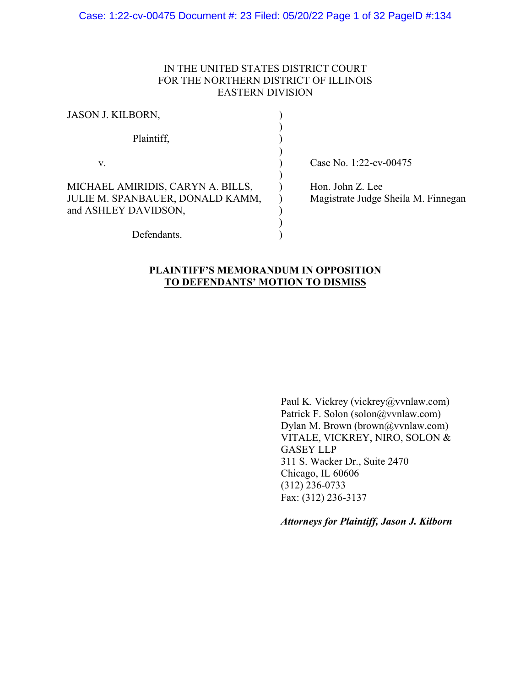### IN THE UNITED STATES DISTRICT COURT FOR THE NORTHERN DISTRICT OF ILLINOIS EASTERN DIVISION

| <b>JASON J. KILBORN,</b>          |  |
|-----------------------------------|--|
|                                   |  |
| Plaintiff,                        |  |
|                                   |  |
| V.                                |  |
|                                   |  |
| MICHAEL AMIRIDIS, CARYN A. BILLS, |  |
| JULIE M. SPANBAUER, DONALD KAMM,  |  |
| and ASHLEY DAVIDSON,              |  |
|                                   |  |
| Defendants.                       |  |

) Case No. 1:22-cv-00475

) Hon. John Z. Lee ) Magistrate Judge Sheila M. Finnegan

#### **PLAINTIFF'S MEMORANDUM IN OPPOSITION TO DEFENDANTS' MOTION TO DISMISS**

Paul K. Vickrey (vickrey@vvnlaw.com) Patrick F. Solon (solon@vvnlaw.com) Dylan M. Brown (brown@vvnlaw.com) VITALE, VICKREY, NIRO, SOLON & GASEY LLP 311 S. Wacker Dr., Suite 2470 Chicago, IL 60606 (312) 236-0733 Fax: (312) 236-3137

*Attorneys for Plaintiff, Jason J. Kilborn*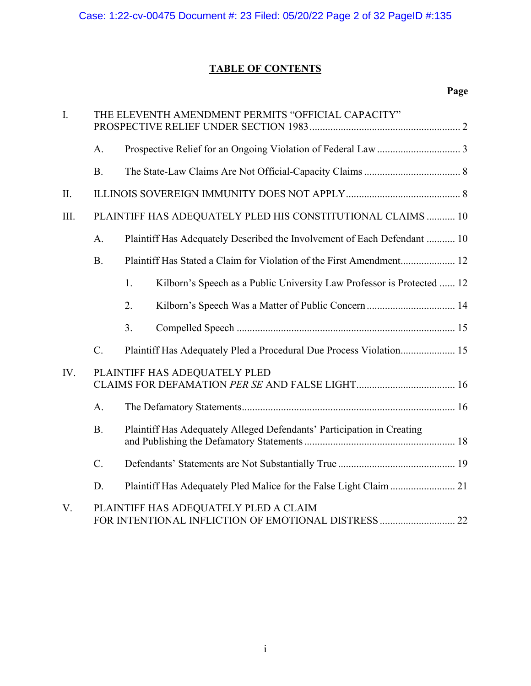# **TABLE OF CONTENTS**

# **Page**

| I.   |                                                             | THE ELEVENTH AMENDMENT PERMITS "OFFICIAL CAPACITY"                                            |                                                                        |  |
|------|-------------------------------------------------------------|-----------------------------------------------------------------------------------------------|------------------------------------------------------------------------|--|
|      | A.                                                          |                                                                                               |                                                                        |  |
|      | <b>B.</b>                                                   |                                                                                               |                                                                        |  |
| II.  |                                                             |                                                                                               |                                                                        |  |
| III. | PLAINTIFF HAS ADEQUATELY PLED HIS CONSTITUTIONAL CLAIMS  10 |                                                                                               |                                                                        |  |
|      | A.                                                          | Plaintiff Has Adequately Described the Involvement of Each Defendant  10                      |                                                                        |  |
|      | <b>B.</b>                                                   |                                                                                               | Plaintiff Has Stated a Claim for Violation of the First Amendment 12   |  |
|      |                                                             | 1.                                                                                            | Kilborn's Speech as a Public University Law Professor is Protected  12 |  |
|      |                                                             | 2.                                                                                            |                                                                        |  |
|      |                                                             | 3.                                                                                            |                                                                        |  |
|      | C.                                                          |                                                                                               | Plaintiff Has Adequately Pled a Procedural Due Process Violation 15    |  |
| IV.  |                                                             |                                                                                               | PLAINTIFF HAS ADEQUATELY PLED                                          |  |
|      | A.                                                          |                                                                                               |                                                                        |  |
|      | <b>B.</b>                                                   | Plaintiff Has Adequately Alleged Defendants' Participation in Creating                        |                                                                        |  |
|      | $C_{\cdot}$                                                 |                                                                                               |                                                                        |  |
|      | D.                                                          |                                                                                               |                                                                        |  |
| V.   |                                                             | PLAINTIFF HAS ADEQUATELY PLED A CLAIM<br>FOR INTENTIONAL INFLICTION OF EMOTIONAL DISTRESS  22 |                                                                        |  |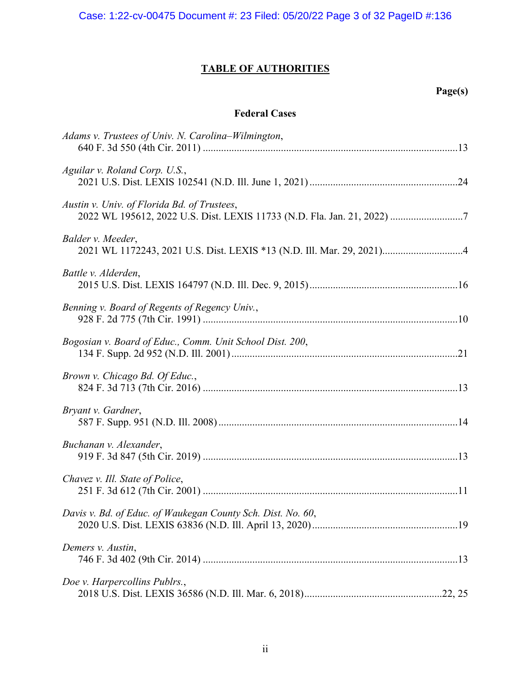Case: 1:22-cv-00475 Document #: 23 Filed: 05/20/22 Page 3 of 32 PageID #:136

# **TABLE OF AUTHORITIES**

# **Page(s)**

# **Federal Cases**

| Adams v. Trustees of Univ. N. Carolina-Wilmington,                                                                     |
|------------------------------------------------------------------------------------------------------------------------|
| Aguilar v. Roland Corp. U.S.,                                                                                          |
| Austin v. Univ. of Florida Bd. of Trustees,<br>2022 WL 195612, 2022 U.S. Dist. LEXIS 11733 (N.D. Fla. Jan. 21, 2022) 7 |
| Balder v. Meeder,                                                                                                      |
| Battle v. Alderden,                                                                                                    |
| Benning v. Board of Regents of Regency Univ.,                                                                          |
| Bogosian v. Board of Educ., Comm. Unit School Dist. 200,                                                               |
| Brown v. Chicago Bd. Of Educ.,                                                                                         |
| Bryant v. Gardner,                                                                                                     |
| Buchanan v. Alexander,                                                                                                 |
| Chavez v. Ill. State of Police,                                                                                        |
| Davis v. Bd. of Educ. of Waukegan County Sch. Dist. No. 60,                                                            |
| Demers v. Austin,                                                                                                      |
| Doe v. Harpercollins Publrs.,                                                                                          |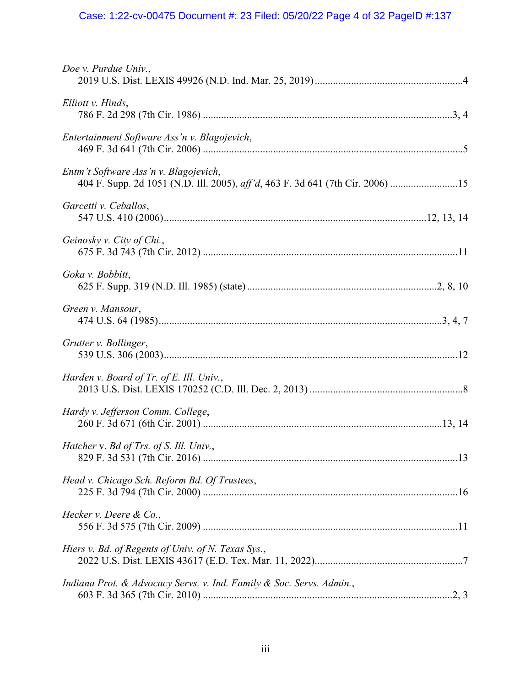# Case: 1:22-cv-00475 Document #: 23 Filed: 05/20/22 Page 4 of 32 PageID #:137

| Doe v. Purdue Univ.,                                                                                                    |
|-------------------------------------------------------------------------------------------------------------------------|
| Elliott v. Hinds,                                                                                                       |
| Entertainment Software Ass'n v. Blagojevich,                                                                            |
| Entm't Software Ass'n v. Blagojevich,<br>404 F. Supp. 2d 1051 (N.D. Ill. 2005), aff'd, 463 F. 3d 641 (7th Cir. 2006) 15 |
| Garcetti v. Ceballos,                                                                                                   |
| Geinosky v. City of Chi.,                                                                                               |
| Goka v. Bobbitt,                                                                                                        |
| Green v. Mansour,                                                                                                       |
| Grutter v. Bollinger,                                                                                                   |
| Harden v. Board of Tr. of E. Ill. Univ.,                                                                                |
| Hardy v. Jefferson Comm. College,                                                                                       |
| Hatcher v. Bd of Trs. of S. Ill. Univ.,                                                                                 |
| Head v. Chicago Sch. Reform Bd. Of Trustees,                                                                            |
| Hecker v. Deere & Co.,                                                                                                  |
| Hiers v. Bd. of Regents of Univ. of N. Texas Sys.,                                                                      |
| Indiana Prot. & Advocacy Servs. v. Ind. Family & Soc. Servs. Admin.,                                                    |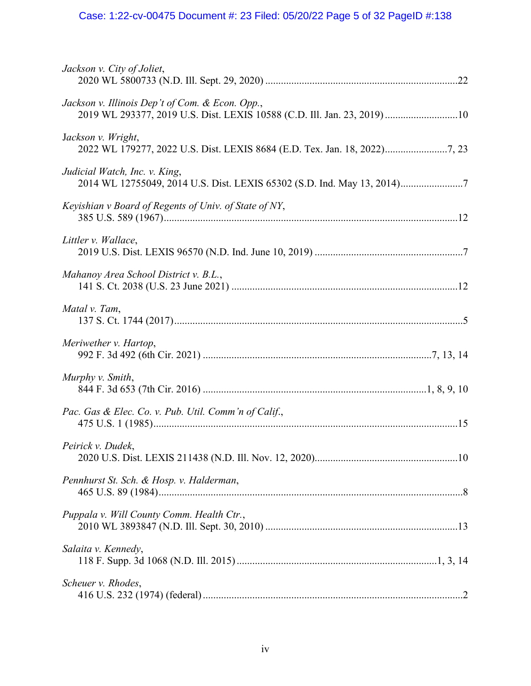# Case: 1:22-cv-00475 Document #: 23 Filed: 05/20/22 Page 5 of 32 PageID #:138

| Jackson v. City of Joliet,                                                                                                  |
|-----------------------------------------------------------------------------------------------------------------------------|
| Jackson v. Illinois Dep't of Com. & Econ. Opp.,<br>2019 WL 293377, 2019 U.S. Dist. LEXIS 10588 (C.D. Ill. Jan. 23, 2019) 10 |
| Jackson v. Wright,<br>2022 WL 179277, 2022 U.S. Dist. LEXIS 8684 (E.D. Tex. Jan. 18, 2022)7, 23                             |
| Judicial Watch, Inc. v. King,<br>2014 WL 12755049, 2014 U.S. Dist. LEXIS 65302 (S.D. Ind. May 13, 2014)7                    |
| Keyishian v Board of Regents of Univ. of State of NY,                                                                       |
| Littler v. Wallace,                                                                                                         |
| Mahanoy Area School District v. B.L.,                                                                                       |
| Matal v. Tam,                                                                                                               |
| Meriwether v. Hartop,                                                                                                       |
| Murphy v. Smith,                                                                                                            |
| Pac. Gas & Elec. Co. v. Pub. Util. Comm'n of Calif.,                                                                        |
| Peirick v. Dudek,                                                                                                           |
| Pennhurst St. Sch. & Hosp. v. Halderman,                                                                                    |
| Puppala v. Will County Comm. Health Ctr.,                                                                                   |
| Salaita v. Kennedy,                                                                                                         |
| Scheuer v. Rhodes,                                                                                                          |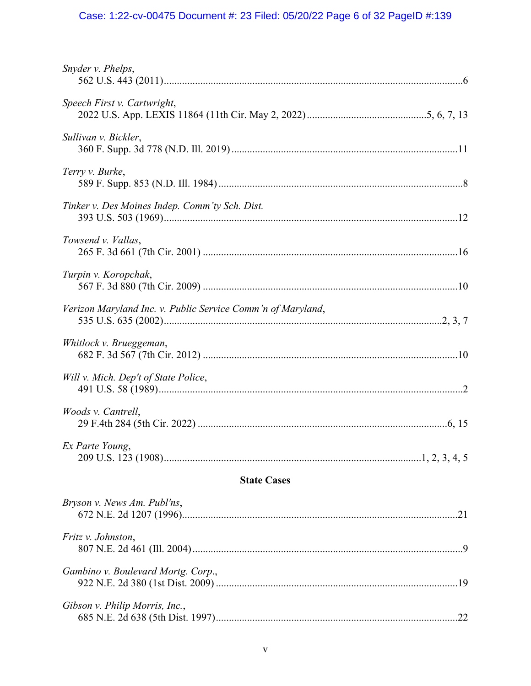# Case: 1:22-cv-00475 Document #: 23 Filed: 05/20/22 Page 6 of 32 PageID #:139

| Snyder v. Phelps,                                           |  |
|-------------------------------------------------------------|--|
| Speech First v. Cartwright,                                 |  |
| Sullivan v. Bickler,                                        |  |
| Terry v. Burke,                                             |  |
| Tinker v. Des Moines Indep. Comm'ty Sch. Dist.              |  |
| Towsend v. Vallas,                                          |  |
| Turpin v. Koropchak,                                        |  |
| Verizon Maryland Inc. v. Public Service Comm'n of Maryland, |  |
| Whitlock v. Brueggeman,                                     |  |
| Will v. Mich. Dep't of State Police,                        |  |
| Woods v. Cantrell,                                          |  |
| Ex Parte Young,                                             |  |
| <b>State Cases</b>                                          |  |
| Bryson v. News Am. Publ'ns,                                 |  |
| Fritz v. Johnston,                                          |  |
| Gambino v. Boulevard Mortg. Corp.,                          |  |
| Gibson v. Philip Morris, Inc.,                              |  |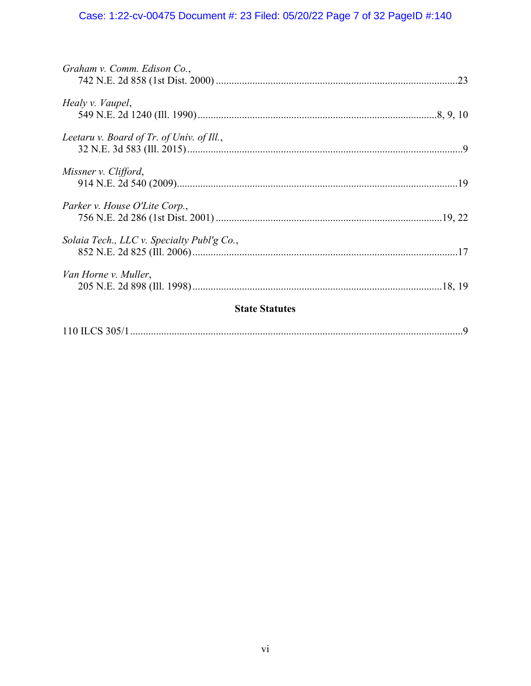# Case: 1:22-cv-00475 Document #: 23 Filed: 05/20/22 Page 7 of 32 PageID #:140

| Graham v. Comm. Edison Co.,                |  |  |  |  |
|--------------------------------------------|--|--|--|--|
| Healy v. Vaupel,                           |  |  |  |  |
| Leetaru v. Board of Tr. of Univ. of Ill.,  |  |  |  |  |
| Missner v. Clifford,                       |  |  |  |  |
| Parker v. House O'Lite Corp.,              |  |  |  |  |
| Solaia Tech., LLC v. Specialty Publ'g Co., |  |  |  |  |
| Van Horne v. Muller,                       |  |  |  |  |
| <b>State Statutes</b>                      |  |  |  |  |
|                                            |  |  |  |  |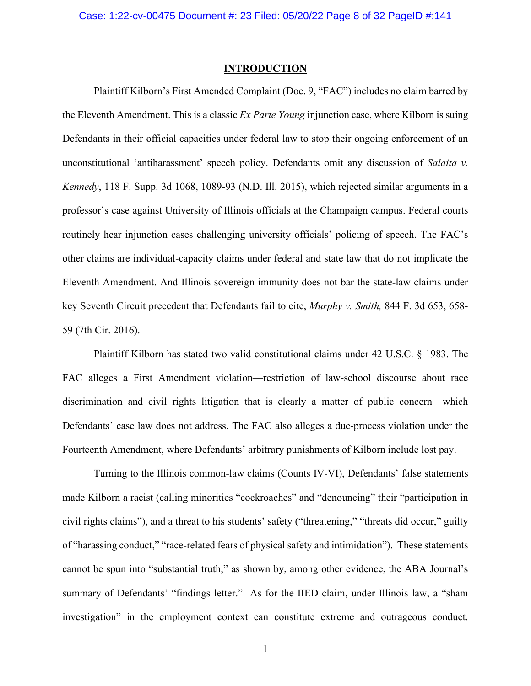#### <span id="page-7-2"></span><span id="page-7-1"></span><span id="page-7-0"></span>**INTRODUCTION**

Plaintiff Kilborn's First Amended Complaint (Doc. 9, "FAC") includes no claim barred by the Eleventh Amendment. This is a classic *Ex Parte Young* injunction case, where Kilborn is suing Defendants in their official capacities under federal law to stop their ongoing enforcement of an unconstitutional 'antiharassment' speech policy. Defendants omit any discussion of *Salaita v. Kennedy*, 118 F. Supp. 3d 1068, 1089-93 (N.D. Ill. 2015), which rejected similar arguments in a professor's case against University of Illinois officials at the Champaign campus. Federal courts routinely hear injunction cases challenging university officials' policing of speech. The FAC's other claims are individual-capacity claims under federal and state law that do not implicate the Eleventh Amendment. And Illinois sovereign immunity does not bar the state-law claims under key Seventh Circuit precedent that Defendants fail to cite, *Murphy v. Smith,* 844 F. 3d 653, 658- 59 (7th Cir. 2016).

Plaintiff Kilborn has stated two valid constitutional claims under 42 U.S.C. § 1983. The FAC alleges a First Amendment violation—restriction of law-school discourse about race discrimination and civil rights litigation that is clearly a matter of public concern—which Defendants' case law does not address. The FAC also alleges a due-process violation under the Fourteenth Amendment, where Defendants' arbitrary punishments of Kilborn include lost pay.

Turning to the Illinois common-law claims (Counts IV-VI), Defendants' false statements made Kilborn a racist (calling minorities "cockroaches" and "denouncing" their "participation in civil rights claims"), and a threat to his students' safety ("threatening," "threats did occur," guilty of "harassing conduct," "race-related fears of physical safety and intimidation"). These statements cannot be spun into "substantial truth," as shown by, among other evidence, the ABA Journal's summary of Defendants' "findings letter." As for the IIED claim, under Illinois law, a "sham investigation" in the employment context can constitute extreme and outrageous conduct.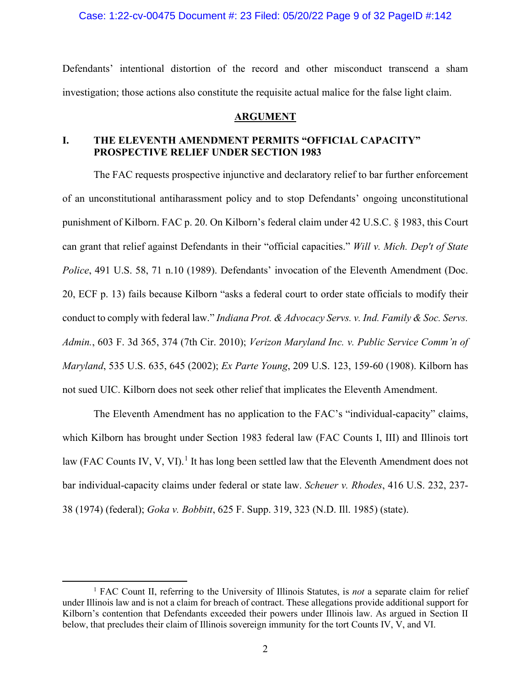Case: 1:22-cv-00475 Document #: 23 Filed: 05/20/22 Page 9 of 32 PageID #:142

Defendants' intentional distortion of the record and other misconduct transcend a sham investigation; those actions also constitute the requisite actual malice for the false light claim.

#### <span id="page-8-5"></span>**ARGUMENT**

### <span id="page-8-0"></span>**I. THE ELEVENTH AMENDMENT PERMITS "OFFICIAL CAPACITY" PROSPECTIVE RELIEF UNDER SECTION 1983**

The FAC requests prospective injunctive and declaratory relief to bar further enforcement of an unconstitutional antiharassment policy and to stop Defendants' ongoing unconstitutional punishment of Kilborn. FAC p. 20. On Kilborn's federal claim under 42 U.S.C. § 1983, this Court can grant that relief against Defendants in their "official capacities." *Will v. Mich. Dep't of State Police*, 491 U.S. 58, 71 n.10 (1989). Defendants' invocation of the Eleventh Amendment (Doc. 20, ECF p. 13) fails because Kilborn "asks a federal court to order state officials to modify their conduct to comply with federal law." *Indiana Prot. & Advocacy Servs. v. Ind. Family & Soc. Servs. Admin.*, 603 F. 3d 365, 374 (7th Cir. 2010); *Verizon Maryland Inc. v. Public Service Comm'n of Maryland*, 535 U.S. 635, 645 (2002); *Ex Parte Young*, 209 U.S. 123, 159-60 (1908). Kilborn has not sued UIC. Kilborn does not seek other relief that implicates the Eleventh Amendment.

<span id="page-8-6"></span><span id="page-8-4"></span><span id="page-8-3"></span><span id="page-8-2"></span>The Eleventh Amendment has no application to the FAC's "individual-capacity" claims, which Kilborn has brought under Section 1983 federal law (FAC Counts I, III) and Illinois tort law (FAC Counts IV, V, VI).<sup>[1](#page-8-7)</sup> It has long been settled law that the Eleventh Amendment does not bar individual-capacity claims under federal or state law. *Scheuer v. Rhodes*, 416 U.S. 232, 237- 38 (1974) (federal); *Goka v. Bobbitt*, 625 F. Supp. 319, 323 (N.D. Ill. 1985) (state).

<span id="page-8-7"></span><span id="page-8-1"></span><sup>&</sup>lt;sup>1</sup> FAC Count II, referring to the University of Illinois Statutes, is *not* a separate claim for relief under Illinois law and is not a claim for breach of contract. These allegations provide additional support for Kilborn's contention that Defendants exceeded their powers under Illinois law. As argued in Section II below, that precludes their claim of Illinois sovereign immunity for the tort Counts IV, V, and VI.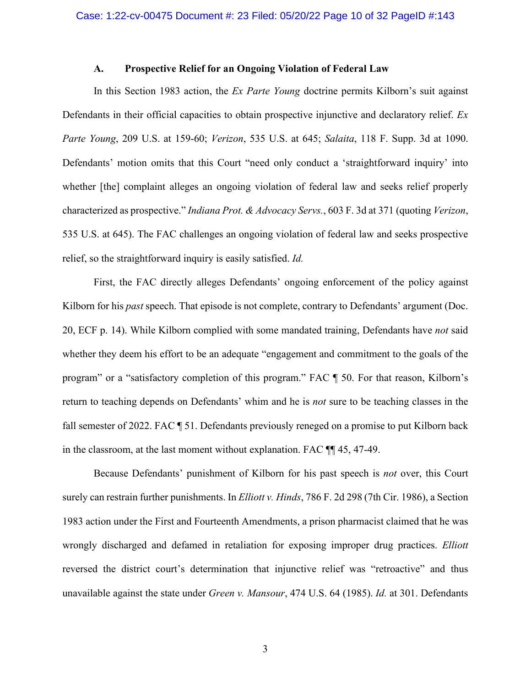#### <span id="page-9-6"></span><span id="page-9-5"></span><span id="page-9-4"></span>**A. Prospective Relief for an Ongoing Violation of Federal Law**

<span id="page-9-0"></span>In this Section 1983 action, the *Ex Parte Young* doctrine permits Kilborn's suit against Defendants in their official capacities to obtain prospective injunctive and declaratory relief. *Ex Parte Young*, 209 U.S. at 159-60; *Verizon*, 535 U.S. at 645; *Salaita*, 118 F. Supp. 3d at 1090. Defendants' motion omits that this Court "need only conduct a 'straightforward inquiry' into whether [the] complaint alleges an ongoing violation of federal law and seeks relief properly characterized as prospective." *Indiana Prot. & Advocacy Servs.*, 603 F. 3d at 371 (quoting *Verizon*, 535 U.S. at 645). The FAC challenges an ongoing violation of federal law and seeks prospective relief, so the straightforward inquiry is easily satisfied. *Id.*

<span id="page-9-3"></span>First, the FAC directly alleges Defendants' ongoing enforcement of the policy against Kilborn for his *past* speech. That episode is not complete, contrary to Defendants' argument (Doc. 20, ECF p. 14). While Kilborn complied with some mandated training, Defendants have *not* said whether they deem his effort to be an adequate "engagement and commitment to the goals of the program" or a "satisfactory completion of this program." FAC ¶ 50. For that reason, Kilborn's return to teaching depends on Defendants' whim and he is *not* sure to be teaching classes in the fall semester of 2022. FAC ¶ 51. Defendants previously reneged on a promise to put Kilborn back in the classroom, at the last moment without explanation. FAC ¶¶ 45, 47-49.

<span id="page-9-2"></span><span id="page-9-1"></span>Because Defendants' punishment of Kilborn for his past speech is *not* over, this Court surely can restrain further punishments. In *Elliott v. Hinds*, 786 F. 2d 298 (7th Cir. 1986), a Section 1983 action under the First and Fourteenth Amendments, a prison pharmacist claimed that he was wrongly discharged and defamed in retaliation for exposing improper drug practices. *Elliott* reversed the district court's determination that injunctive relief was "retroactive" and thus unavailable against the state under *Green v. Mansour*, 474 U.S. 64 (1985). *Id.* at 301. Defendants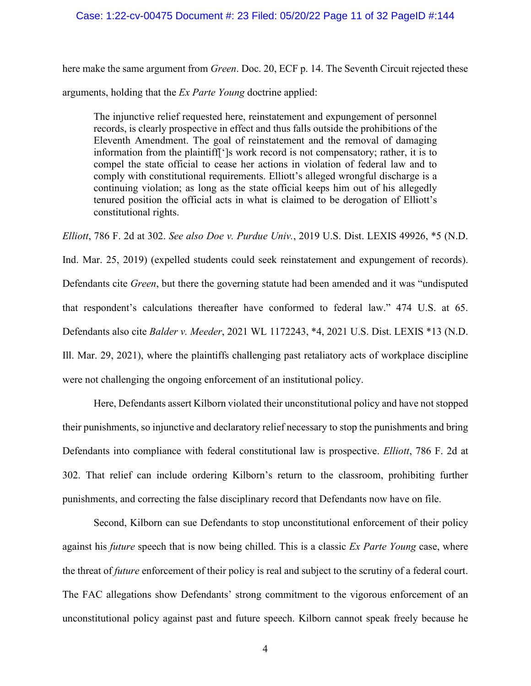#### Case: 1:22-cv-00475 Document #: 23 Filed: 05/20/22 Page 11 of 32 PageID #:144

here make the same argument from *Green*. Doc. 20, ECF p. 14. The Seventh Circuit rejected these arguments, holding that the *Ex Parte Young* doctrine applied:

<span id="page-10-4"></span><span id="page-10-3"></span>The injunctive relief requested here, reinstatement and expungement of personnel records, is clearly prospective in effect and thus falls outside the prohibitions of the Eleventh Amendment. The goal of reinstatement and the removal of damaging information from the plaintiff[']s work record is not compensatory; rather, it is to compel the state official to cease her actions in violation of federal law and to comply with constitutional requirements. Elliott's alleged wrongful discharge is a continuing violation; as long as the state official keeps him out of his allegedly tenured position the official acts in what is claimed to be derogation of Elliott's constitutional rights.

<span id="page-10-2"></span><span id="page-10-1"></span>*Elliott*, 786 F. 2d at 302. *See also Doe v. Purdue Univ.*, 2019 U.S. Dist. LEXIS 49926, \*5 (N.D. Ind. Mar. 25, 2019) (expelled students could seek reinstatement and expungement of records). Defendants cite *Green*, but there the governing statute had been amended and it was "undisputed that respondent's calculations thereafter have conformed to federal law." 474 U.S. at 65. Defendants also cite *Balder v. Meeder*, 2021 WL 1172243, \*4, 2021 U.S. Dist. LEXIS \*13 (N.D. Ill. Mar. 29, 2021), where the plaintiffs challenging past retaliatory acts of workplace discipline were not challenging the ongoing enforcement of an institutional policy.

<span id="page-10-0"></span>Here, Defendants assert Kilborn violated their unconstitutional policy and have not stopped their punishments, so injunctive and declaratory relief necessary to stop the punishments and bring Defendants into compliance with federal constitutional law is prospective. *Elliott*, 786 F. 2d at 302. That relief can include ordering Kilborn's return to the classroom, prohibiting further punishments, and correcting the false disciplinary record that Defendants now have on file.

Second, Kilborn can sue Defendants to stop unconstitutional enforcement of their policy against his *future* speech that is now being chilled. This is a classic *Ex Parte Young* case, where the threat of *future* enforcement of their policy is real and subject to the scrutiny of a federal court. The FAC allegations show Defendants' strong commitment to the vigorous enforcement of an unconstitutional policy against past and future speech. Kilborn cannot speak freely because he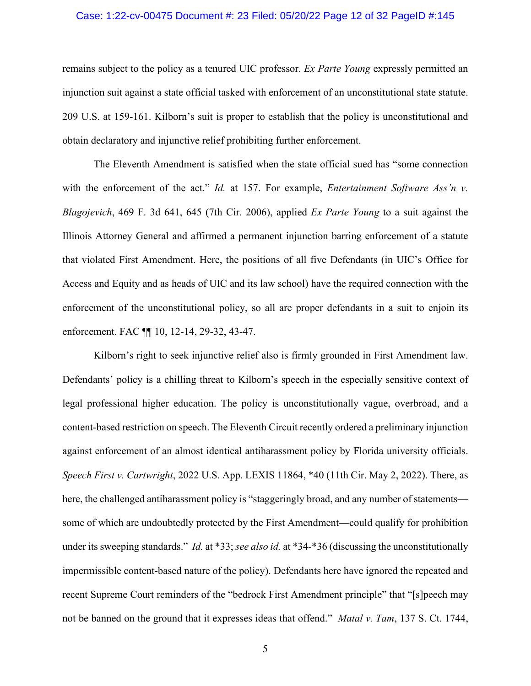#### <span id="page-11-3"></span>Case: 1:22-cv-00475 Document #: 23 Filed: 05/20/22 Page 12 of 32 PageID #:145

remains subject to the policy as a tenured UIC professor. *Ex Parte Young* expressly permitted an injunction suit against a state official tasked with enforcement of an unconstitutional state statute. 209 U.S. at 159-161. Kilborn's suit is proper to establish that the policy is unconstitutional and obtain declaratory and injunctive relief prohibiting further enforcement.

<span id="page-11-0"></span>The Eleventh Amendment is satisfied when the state official sued has "some connection with the enforcement of the act." *Id.* at 157. For example, *Entertainment Software Ass'n v. Blagojevich*, 469 F. 3d 641, 645 (7th Cir. 2006), applied *Ex Parte Young* to a suit against the Illinois Attorney General and affirmed a permanent injunction barring enforcement of a statute that violated First Amendment. Here, the positions of all five Defendants (in UIC's Office for Access and Equity and as heads of UIC and its law school) have the required connection with the enforcement of the unconstitutional policy, so all are proper defendants in a suit to enjoin its enforcement. FAC ¶¶ 10, 12-14, 29-32, 43-47.

<span id="page-11-2"></span><span id="page-11-1"></span>Kilborn's right to seek injunctive relief also is firmly grounded in First Amendment law. Defendants' policy is a chilling threat to Kilborn's speech in the especially sensitive context of legal professional higher education. The policy is unconstitutionally vague, overbroad, and a content-based restriction on speech. The Eleventh Circuit recently ordered a preliminary injunction against enforcement of an almost identical antiharassment policy by Florida university officials. *Speech First v. Cartwright*, 2022 U.S. App. LEXIS 11864, \*40 (11th Cir. May 2, 2022). There, as here, the challenged antiharassment policy is "staggeringly broad, and any number of statements some of which are undoubtedly protected by the First Amendment—could qualify for prohibition under its sweeping standards." *Id.* at \*33; *see also id.* at \*34-\*36 (discussing the unconstitutionally impermissible content-based nature of the policy). Defendants here have ignored the repeated and recent Supreme Court reminders of the "bedrock First Amendment principle" that "[s]peech may not be banned on the ground that it expresses ideas that offend." *Matal v. Tam*, 137 S. Ct. 1744,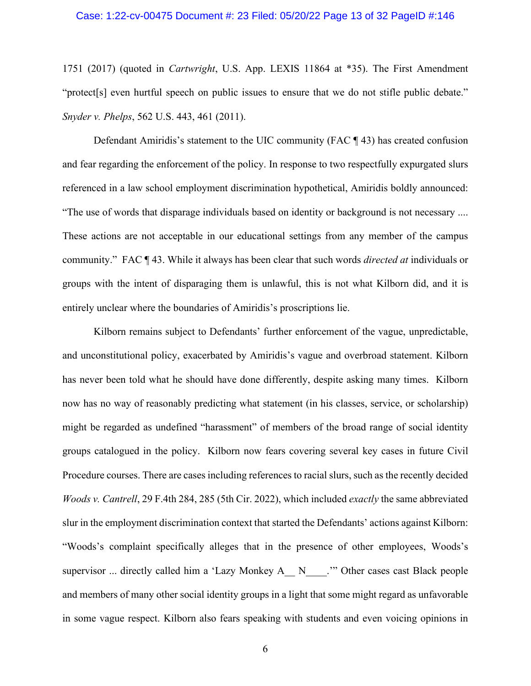#### <span id="page-12-1"></span>Case: 1:22-cv-00475 Document #: 23 Filed: 05/20/22 Page 13 of 32 PageID #:146

1751 (2017) (quoted in *Cartwright*, U.S. App. LEXIS 11864 at \*35). The First Amendment "protect[s] even hurtful speech on public issues to ensure that we do not stifle public debate." *Snyder v. Phelps*, 562 U.S. 443, 461 (2011).

<span id="page-12-0"></span>Defendant Amiridis's statement to the UIC community (FAC ¶ 43) has created confusion and fear regarding the enforcement of the policy. In response to two respectfully expurgated slurs referenced in a law school employment discrimination hypothetical, Amiridis boldly announced: "The use of words that disparage individuals based on identity or background is not necessary .... These actions are not acceptable in our educational settings from any member of the campus community." FAC ¶ 43. While it always has been clear that such words *directed at* individuals or groups with the intent of disparaging them is unlawful, this is not what Kilborn did, and it is entirely unclear where the boundaries of Amiridis's proscriptions lie.

<span id="page-12-2"></span>Kilborn remains subject to Defendants' further enforcement of the vague, unpredictable, and unconstitutional policy, exacerbated by Amiridis's vague and overbroad statement. Kilborn has never been told what he should have done differently, despite asking many times. Kilborn now has no way of reasonably predicting what statement (in his classes, service, or scholarship) might be regarded as undefined "harassment" of members of the broad range of social identity groups catalogued in the policy. Kilborn now fears covering several key cases in future Civil Procedure courses. There are cases including references to racial slurs, such as the recently decided *Woods v. Cantrell*, 29 F.4th 284, 285 (5th Cir. 2022), which included *exactly* the same abbreviated slur in the employment discrimination context that started the Defendants' actions against Kilborn: "Woods's complaint specifically alleges that in the presence of other employees, Woods's supervisor ... directly called him a 'Lazy Monkey A<sub>\_\_</sub> N<sub>\_\_\_\_</sub>.'" Other cases cast Black people and members of many other social identity groups in a light that some might regard as unfavorable in some vague respect. Kilborn also fears speaking with students and even voicing opinions in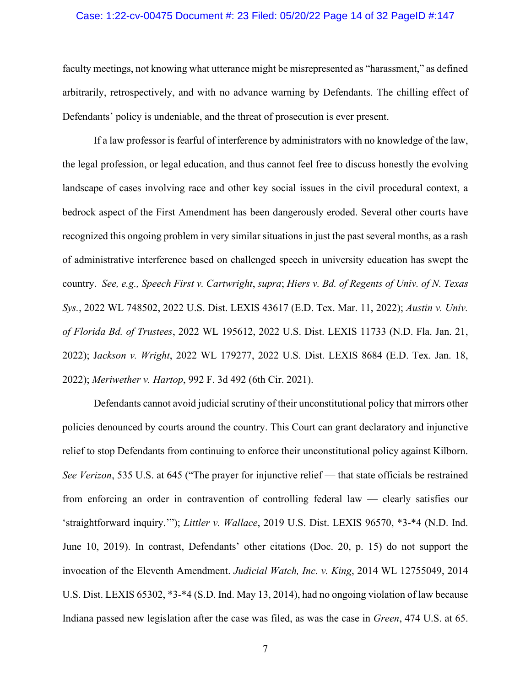#### Case: 1:22-cv-00475 Document #: 23 Filed: 05/20/22 Page 14 of 32 PageID #:147

faculty meetings, not knowing what utterance might be misrepresented as "harassment," as defined arbitrarily, retrospectively, and with no advance warning by Defendants. The chilling effect of Defendants' policy is undeniable, and the threat of prosecution is ever present.

If a law professor is fearful of interference by administrators with no knowledge of the law, the legal profession, or legal education, and thus cannot feel free to discuss honestly the evolving landscape of cases involving race and other key social issues in the civil procedural context, a bedrock aspect of the First Amendment has been dangerously eroded. Several other courts have recognized this ongoing problem in very similar situations in just the past several months, as a rash of administrative interference based on challenged speech in university education has swept the country. *See, e.g., Speech First v. Cartwright*, *supra*; *Hiers v. Bd. of Regents of Univ. of N. Texas Sys.*, 2022 WL 748502, 2022 U.S. Dist. LEXIS 43617 (E.D. Tex. Mar. 11, 2022); *Austin v. Univ. of Florida Bd. of Trustees*, 2022 WL 195612, 2022 U.S. Dist. LEXIS 11733 (N.D. Fla. Jan. 21, 2022); J*ackson v. Wright*, 2022 WL 179277, 2022 U.S. Dist. LEXIS 8684 (E.D. Tex. Jan. 18, 2022); *Meriwether v. Hartop*, 992 F. 3d 492 (6th Cir. 2021).

<span id="page-13-8"></span><span id="page-13-7"></span><span id="page-13-6"></span><span id="page-13-5"></span><span id="page-13-4"></span><span id="page-13-3"></span><span id="page-13-2"></span><span id="page-13-1"></span><span id="page-13-0"></span>Defendants cannot avoid judicial scrutiny of their unconstitutional policy that mirrors other policies denounced by courts around the country. This Court can grant declaratory and injunctive relief to stop Defendants from continuing to enforce their unconstitutional policy against Kilborn. *See Verizon*, 535 U.S. at 645 ("The prayer for injunctive relief — that state officials be restrained from enforcing an order in contravention of controlling federal law — clearly satisfies our 'straightforward inquiry.'"); *Littler v. Wallace*, 2019 U.S. Dist. LEXIS 96570, \*3-\*4 (N.D. Ind. June 10, 2019). In contrast, Defendants' other citations (Doc. 20, p. 15) do not support the invocation of the Eleventh Amendment. *Judicial Watch, Inc. v. King*, 2014 WL 12755049, 2014 U.S. Dist. LEXIS 65302, \*3-\*4 (S.D. Ind. May 13, 2014), had no ongoing violation of law because Indiana passed new legislation after the case was filed, as was the case in *Green*, 474 U.S. at 65.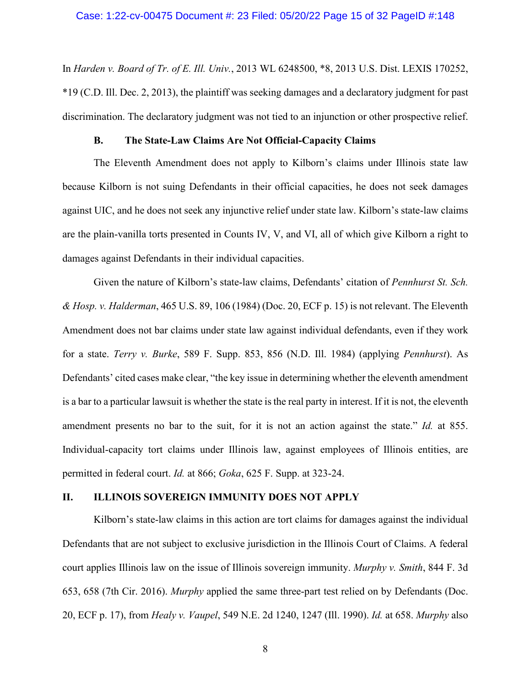<span id="page-14-3"></span>In *Harden v. Board of Tr. of E. Ill. Univ.*, 2013 WL 6248500, \*8, 2013 U.S. Dist. LEXIS 170252, \*19 (C.D. Ill. Dec. 2, 2013), the plaintiff was seeking damages and a declaratory judgment for past discrimination. The declaratory judgment was not tied to an injunction or other prospective relief.

#### **B. The State-Law Claims Are Not Official-Capacity Claims**

<span id="page-14-0"></span>The Eleventh Amendment does not apply to Kilborn's claims under Illinois state law because Kilborn is not suing Defendants in their official capacities, he does not seek damages against UIC, and he does not seek any injunctive relief under state law. Kilborn's state-law claims are the plain-vanilla torts presented in Counts IV, V, and VI, all of which give Kilborn a right to damages against Defendants in their individual capacities.

<span id="page-14-6"></span><span id="page-14-5"></span>Given the nature of Kilborn's state-law claims, Defendants' citation of *Pennhurst St. Sch. & Hosp. v. Halderman*, 465 U.S. 89, 106 (1984) (Doc. 20, ECF p. 15) is not relevant. The Eleventh Amendment does not bar claims under state law against individual defendants, even if they work for a state. *Terry v. Burke*, 589 F. Supp. 853, 856 (N.D. Ill. 1984) (applying *Pennhurst*). As Defendants' cited cases make clear, "the key issue in determining whether the eleventh amendment is a bar to a particular lawsuit is whether the state is the real party in interest. If it is not, the eleventh amendment presents no bar to the suit, for it is not an action against the state." *Id.* at 855. Individual-capacity tort claims under Illinois law, against employees of Illinois entities, are permitted in federal court. *Id.* at 866; *Goka*, 625 F. Supp. at 323-24.

#### <span id="page-14-2"></span><span id="page-14-1"></span>**II. ILLINOIS SOVEREIGN IMMUNITY DOES NOT APPLY**

<span id="page-14-7"></span><span id="page-14-4"></span>Kilborn's state-law claims in this action are tort claims for damages against the individual Defendants that are not subject to exclusive jurisdiction in the Illinois Court of Claims. A federal court applies Illinois law on the issue of Illinois sovereign immunity. *Murphy v. Smith*, 844 F. 3d 653, 658 (7th Cir. 2016). *Murphy* applied the same three-part test relied on by Defendants (Doc. 20, ECF p. 17), from *Healy v. Vaupel*, 549 N.E. 2d 1240, 1247 (Ill. 1990). *Id.* at 658. *Murphy* also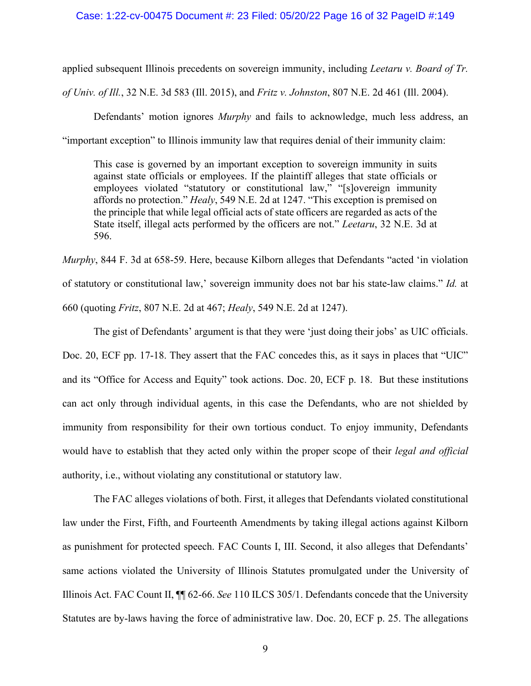#### Case: 1:22-cv-00475 Document #: 23 Filed: 05/20/22 Page 16 of 32 PageID #:149

applied subsequent Illinois precedents on sovereign immunity, including *Leetaru v. Board of Tr.* 

*of Univ. of Ill.*, 32 N.E. 3d 583 (Ill. 2015), and *Fritz v. Johnston*, 807 N.E. 2d 461 (Ill. 2004).

Defendants' motion ignores *Murphy* and fails to acknowledge, much less address, an "important exception" to Illinois immunity law that requires denial of their immunity claim:

<span id="page-15-3"></span><span id="page-15-2"></span><span id="page-15-1"></span><span id="page-15-0"></span>This case is governed by an important exception to sovereign immunity in suits against state officials or employees. If the plaintiff alleges that state officials or employees violated "statutory or constitutional law," "[s]overeign immunity affords no protection." *Healy*, 549 N.E. 2d at 1247. "This exception is premised on the principle that while legal official acts of state officers are regarded as acts of the State itself, illegal acts performed by the officers are not." *Leetaru*, 32 N.E. 3d at 596.

*Murphy*, 844 F. 3d at 658-59. Here, because Kilborn alleges that Defendants "acted 'in violation of statutory or constitutional law,' sovereign immunity does not bar his state-law claims." *Id.* at 660 (quoting *Fritz*, 807 N.E. 2d at 467; *Healy*, 549 N.E. 2d at 1247).

The gist of Defendants' argument is that they were 'just doing their jobs' as UIC officials. Doc. 20, ECF pp. 17-18. They assert that the FAC concedes this, as it says in places that "UIC" and its "Office for Access and Equity" took actions. Doc. 20, ECF p. 18. But these institutions can act only through individual agents, in this case the Defendants, who are not shielded by immunity from responsibility for their own tortious conduct. To enjoy immunity, Defendants would have to establish that they acted only within the proper scope of their *legal and official* authority, i.e., without violating any constitutional or statutory law.

<span id="page-15-4"></span>The FAC alleges violations of both. First, it alleges that Defendants violated constitutional law under the First, Fifth, and Fourteenth Amendments by taking illegal actions against Kilborn as punishment for protected speech. FAC Counts I, III. Second, it also alleges that Defendants' same actions violated the University of Illinois Statutes promulgated under the University of Illinois Act. FAC Count II, ¶¶ 62-66. *See* 110 ILCS 305/1. Defendants concede that the University Statutes are by-laws having the force of administrative law. Doc. 20, ECF p. 25. The allegations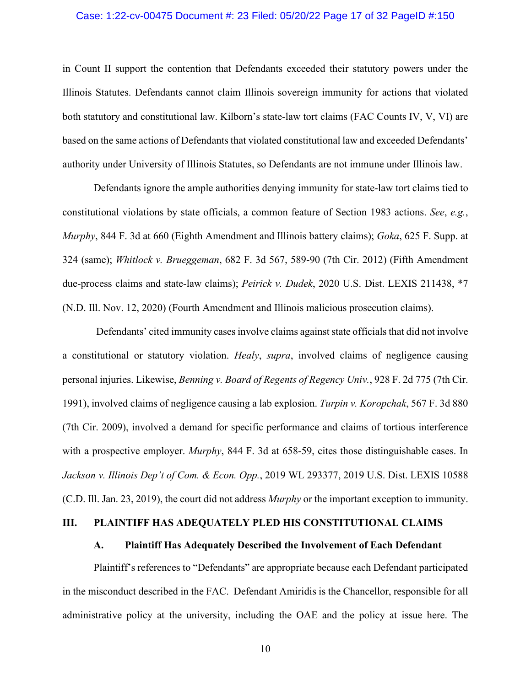#### Case: 1:22-cv-00475 Document #: 23 Filed: 05/20/22 Page 17 of 32 PageID #:150

in Count II support the contention that Defendants exceeded their statutory powers under the Illinois Statutes. Defendants cannot claim Illinois sovereign immunity for actions that violated both statutory and constitutional law. Kilborn's state-law tort claims (FAC Counts IV, V, VI) are based on the same actions of Defendants that violated constitutional law and exceeded Defendants' authority under University of Illinois Statutes, so Defendants are not immune under Illinois law.

<span id="page-16-8"></span><span id="page-16-5"></span><span id="page-16-3"></span>Defendants ignore the ample authorities denying immunity for state-law tort claims tied to constitutional violations by state officials, a common feature of Section 1983 actions. *See*, *e.g.*, *Murphy*, 844 F. 3d at 660 (Eighth Amendment and Illinois battery claims); *Goka*, 625 F. Supp. at 324 (same); *Whitlock v. Brueggeman*, 682 F. 3d 567, 589-90 (7th Cir. 2012) (Fifth Amendment due-process claims and state-law claims); *Peirick v. Dudek*, 2020 U.S. Dist. LEXIS 211438, \*7 (N.D. Ill. Nov. 12, 2020) (Fourth Amendment and Illinois malicious prosecution claims).

<span id="page-16-9"></span><span id="page-16-7"></span><span id="page-16-6"></span><span id="page-16-2"></span>Defendants' cited immunity cases involve claims against state officials that did not involve a constitutional or statutory violation. *Healy*, *supra*, involved claims of negligence causing personal injuries. Likewise, *Benning v. Board of Regents of Regency Univ.*, 928 F. 2d 775 (7th Cir. 1991), involved claims of negligence causing a lab explosion. *Turpin v. Koropchak*, 567 F. 3d 880 (7th Cir. 2009), involved a demand for specific performance and claims of tortious interference with a prospective employer. *Murphy*, 844 F. 3d at 658-59, cites those distinguishable cases. In *Jackson v. Illinois Dep't of Com. & Econ. Opp.*, 2019 WL 293377, 2019 U.S. Dist. LEXIS 10588 (C.D. Ill. Jan. 23, 2019), the court did not address *Murphy* or the important exception to immunity.

#### <span id="page-16-4"></span><span id="page-16-1"></span><span id="page-16-0"></span>**III. PLAINTIFF HAS ADEQUATELY PLED HIS CONSTITUTIONAL CLAIMS**

#### **A. Plaintiff Has Adequately Described the Involvement of Each Defendant**

Plaintiff's references to "Defendants" are appropriate because each Defendant participated in the misconduct described in the FAC. Defendant Amiridis is the Chancellor, responsible for all administrative policy at the university, including the OAE and the policy at issue here. The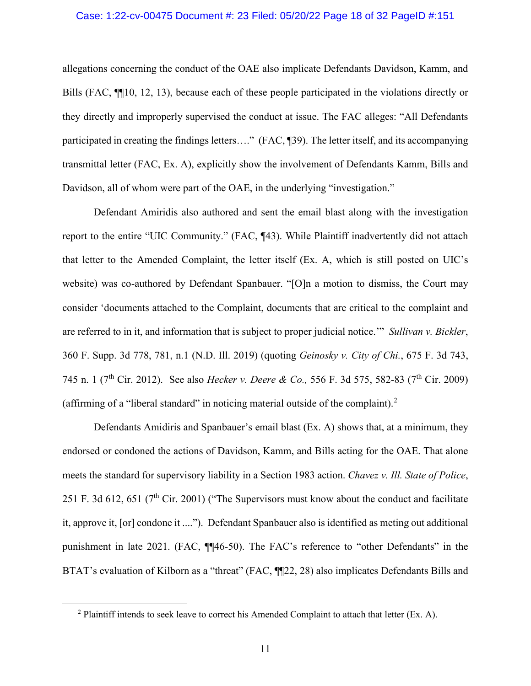#### Case: 1:22-cv-00475 Document #: 23 Filed: 05/20/22 Page 18 of 32 PageID #:151

allegations concerning the conduct of the OAE also implicate Defendants Davidson, Kamm, and Bills (FAC, ¶¶10, 12, 13), because each of these people participated in the violations directly or they directly and improperly supervised the conduct at issue. The FAC alleges: "All Defendants participated in creating the findings letters…." (FAC, ¶39). The letter itself, and its accompanying transmittal letter (FAC, Ex. A), explicitly show the involvement of Defendants Kamm, Bills and Davidson, all of whom were part of the OAE, in the underlying "investigation."

Defendant Amiridis also authored and sent the email blast along with the investigation report to the entire "UIC Community." (FAC, ¶43). While Plaintiff inadvertently did not attach that letter to the Amended Complaint, the letter itself (Ex. A, which is still posted on UIC's website) was co-authored by Defendant Spanbauer. "[O]n a motion to dismiss, the Court may consider 'documents attached to the Complaint, documents that are critical to the complaint and are referred to in it, and information that is subject to proper judicial notice.'" *Sullivan v. Bickler*, 360 F. Supp. 3d 778, 781, n.1 (N.D. Ill. 2019) (quoting *Geinosky v. City of Chi.*, 675 F. 3d 743, 745 n. 1 (7th Cir. 2012). See also *Hecker v. Deere & Co.,* 556 F. 3d 575, 582-83 (7th Cir. 2009) (affirming of a "liberal standard" in noticing material outside of the complaint).<sup>[2](#page-17-4)</sup>

<span id="page-17-3"></span><span id="page-17-2"></span><span id="page-17-1"></span><span id="page-17-0"></span>Defendants Amidiris and Spanbauer's email blast (Ex. A) shows that, at a minimum, they endorsed or condoned the actions of Davidson, Kamm, and Bills acting for the OAE. That alone meets the standard for supervisory liability in a Section 1983 action. *Chavez v. Ill. State of Police*, 251 F. 3d 612, 651 ( $7<sup>th</sup>$  Cir. 2001) ("The Supervisors must know about the conduct and facilitate it, approve it, [or] condone it ...."). Defendant Spanbauer also is identified as meting out additional punishment in late 2021. (FAC, ¶¶46-50). The FAC's reference to "other Defendants" in the BTAT's evaluation of Kilborn as a "threat" (FAC, ¶¶22, 28) also implicates Defendants Bills and

<span id="page-17-4"></span><sup>&</sup>lt;sup>2</sup> Plaintiff intends to seek leave to correct his Amended Complaint to attach that letter (Ex. A).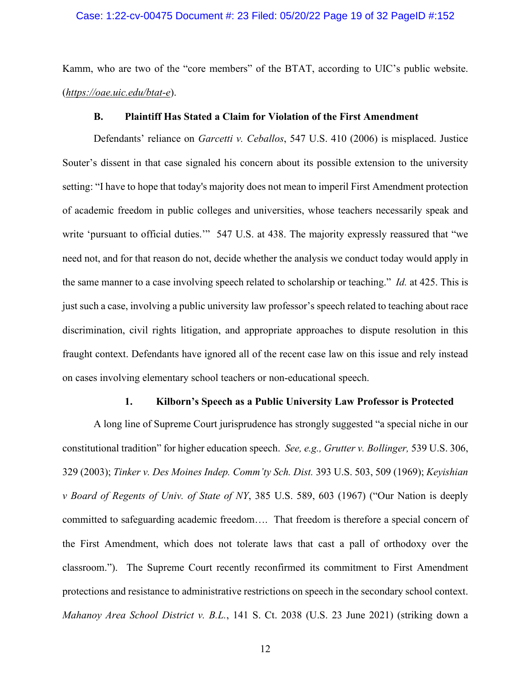#### Case: 1:22-cv-00475 Document #: 23 Filed: 05/20/22 Page 19 of 32 PageID #:152

Kamm, who are two of the "core members" of the BTAT, according to UIC's public website. (*https://oae.uic.edu/btat-e*).

#### <span id="page-18-2"></span>**B. Plaintiff Has Stated a Claim for Violation of the First Amendment**

<span id="page-18-0"></span>Defendants' reliance on *Garcetti v. Ceballos*, 547 U.S. 410 (2006) is misplaced. Justice Souter's dissent in that case signaled his concern about its possible extension to the university setting: "I have to hope that today's majority does not mean to imperil First Amendment protection of academic freedom in public colleges and universities, whose teachers necessarily speak and write 'pursuant to official duties.'" 547 U.S. at 438. The majority expressly reassured that "we need not, and for that reason do not, decide whether the analysis we conduct today would apply in the same manner to a case involving speech related to scholarship or teaching." *Id.* at 425. This is just such a case, involving a public university law professor's speech related to teaching about race discrimination, civil rights litigation, and appropriate approaches to dispute resolution in this fraught context. Defendants have ignored all of the recent case law on this issue and rely instead on cases involving elementary school teachers or non-educational speech.

#### <span id="page-18-6"></span><span id="page-18-4"></span><span id="page-18-3"></span>**1. Kilborn's Speech as a Public University Law Professor is Protected**

<span id="page-18-5"></span><span id="page-18-1"></span>A long line of Supreme Court jurisprudence has strongly suggested "a special niche in our constitutional tradition" for higher education speech. *See, e.g., Grutter v. Bollinger,* 539 U.S. 306, 329 (2003); *Tinker v. Des Moines Indep. Comm'ty Sch. Dist.* 393 U.S. 503, 509 (1969); *Keyishian v Board of Regents of Univ. of State of NY*, 385 U.S. 589, 603 (1967) ("Our Nation is deeply committed to safeguarding academic freedom…. That freedom is therefore a special concern of the First Amendment, which does not tolerate laws that cast a pall of orthodoxy over the classroom."). The Supreme Court recently reconfirmed its commitment to First Amendment protections and resistance to administrative restrictions on speech in the secondary school context. *Mahanoy Area School District v. B.L.*, 141 S. Ct. 2038 (U.S. 23 June 2021) (striking down a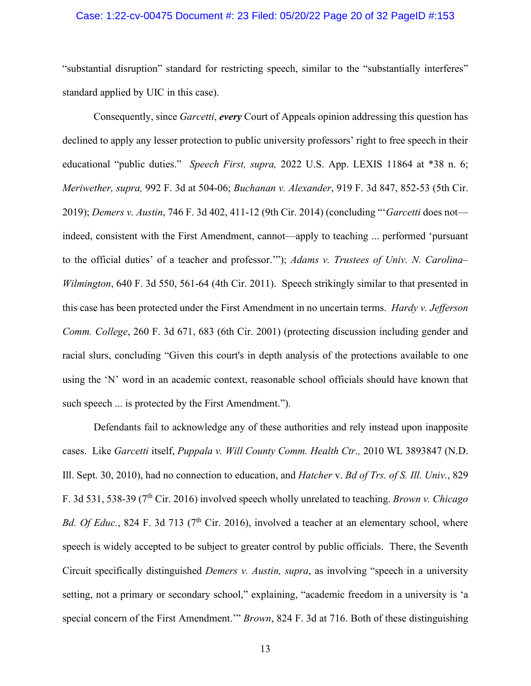#### Case: 1:22-cv-00475 Document #: 23 Filed: 05/20/22 Page 20 of 32 PageID #:153

"substantial disruption" standard for restricting speech, similar to the "substantially interferes" standard applied by UIC in this case).

<span id="page-19-9"></span><span id="page-19-7"></span><span id="page-19-4"></span><span id="page-19-3"></span><span id="page-19-2"></span><span id="page-19-0"></span>Consequently, since *Garcetti*, *every* Court of Appeals opinion addressing this question has declined to apply any lesser protection to public university professors' right to free speech in their educational "public duties." *Speech First, supra,* 2022 U.S. App. LEXIS 11864 at \*38 n. 6; *Meriwether, supra,* 992 F. 3d at 504-06; *Buchanan v. Alexander*, 919 F. 3d 847, 852-53 (5th Cir. 2019); *Demers v. Austin*, 746 F. 3d 402, 411-12 (9th Cir. 2014) (concluding "'*Garcetti* does not indeed, consistent with the First Amendment, cannot—apply to teaching ... performed 'pursuant to the official duties' of a teacher and professor.'"); *Adams v. Trustees of Univ. N. Carolina– Wilmington*, 640 F. 3d 550, 561-64 (4th Cir. 2011). Speech strikingly similar to that presented in this case has been protected under the First Amendment in no uncertain terms. *Hardy v. Jefferson Comm. College*, 260 F. 3d 671, 683 (6th Cir. 2001) (protecting discussion including gender and racial slurs, concluding "Given this court's in depth analysis of the protections available to one using the 'N' word in an academic context, reasonable school officials should have known that such speech ... is protected by the First Amendment.").

<span id="page-19-8"></span><span id="page-19-6"></span><span id="page-19-5"></span><span id="page-19-1"></span>Defendants fail to acknowledge any of these authorities and rely instead upon inapposite cases. Like *Garcetti* itself, *Puppala v. Will County Comm. Health Ctr.,* 2010 WL 3893847 (N.D. Ill. Sept. 30, 2010), had no connection to education, and *Hatcher* v. *Bd of Trs. of S. Ill. Univ.*, 829 F. 3d 531, 538-39 (7th Cir. 2016) involved speech wholly unrelated to teaching. *Brown v. Chicago Bd. Of Educ.*, 824 F. 3d 713 (7<sup>th</sup> Cir. 2016), involved a teacher at an elementary school, where speech is widely accepted to be subject to greater control by public officials. There, the Seventh Circuit specifically distinguished *Demers v. Austin, supra*, as involving "speech in a university setting, not a primary or secondary school," explaining, "academic freedom in a university is 'a special concern of the First Amendment.'" *Brown*, 824 F. 3d at 716. Both of these distinguishing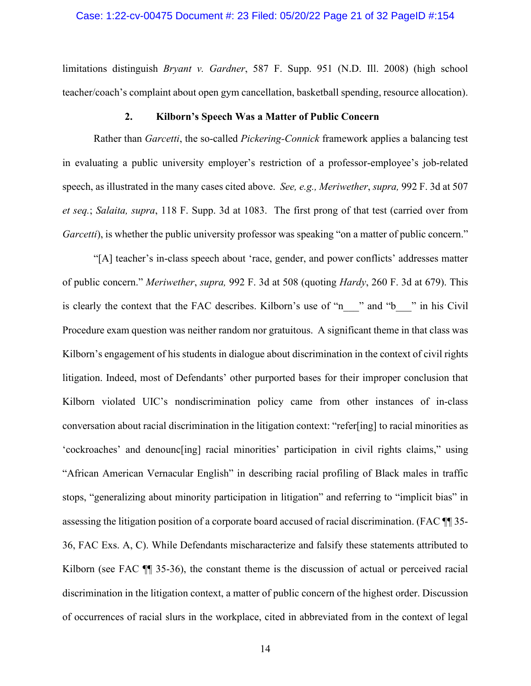#### Case: 1:22-cv-00475 Document #: 23 Filed: 05/20/22 Page 21 of 32 PageID #:154

limitations distinguish *Bryant v. Gardner*, 587 F. Supp. 951 (N.D. Ill. 2008) (high school teacher/coach's complaint about open gym cancellation, basketball spending, resource allocation).

#### <span id="page-20-4"></span><span id="page-20-3"></span><span id="page-20-2"></span><span id="page-20-1"></span>**2. Kilborn's Speech Was a Matter of Public Concern**

<span id="page-20-0"></span>Rather than *Garcetti*, the so-called *Pickering-Connick* framework applies a balancing test in evaluating a public university employer's restriction of a professor-employee's job-related speech, as illustrated in the many cases cited above. *See, e.g., Meriwether*, *supra,* 992 F. 3d at 507 *et seq.*; *Salaita, supra*, 118 F. Supp. 3d at 1083. The first prong of that test (carried over from *Garcetti*), is whether the public university professor was speaking "on a matter of public concern."

<span id="page-20-5"></span>"[A] teacher's in-class speech about 'race, gender, and power conflicts' addresses matter of public concern." *Meriwether*, *supra,* 992 F. 3d at 508 (quoting *Hardy*, 260 F. 3d at 679). This is clearly the context that the FAC describes. Kilborn's use of "n\_\_\_" and "b\_\_\_" in his Civil Procedure exam question was neither random nor gratuitous. A significant theme in that class was Kilborn's engagement of his students in dialogue about discrimination in the context of civil rights litigation. Indeed, most of Defendants' other purported bases for their improper conclusion that Kilborn violated UIC's nondiscrimination policy came from other instances of in-class conversation about racial discrimination in the litigation context: "refer[ing] to racial minorities as 'cockroaches' and denounc[ing] racial minorities' participation in civil rights claims," using "African American Vernacular English" in describing racial profiling of Black males in traffic stops, "generalizing about minority participation in litigation" and referring to "implicit bias" in assessing the litigation position of a corporate board accused of racial discrimination. (FAC ¶¶ 35- 36, FAC Exs. A, C). While Defendants mischaracterize and falsify these statements attributed to Kilborn (see FAC  $\P$  35-36), the constant theme is the discussion of actual or perceived racial discrimination in the litigation context, a matter of public concern of the highest order. Discussion of occurrences of racial slurs in the workplace, cited in abbreviated from in the context of legal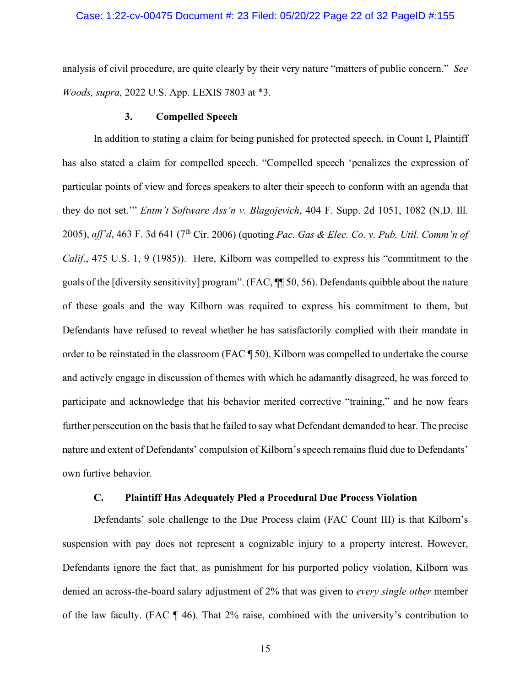#### Case: 1:22-cv-00475 Document #: 23 Filed: 05/20/22 Page 22 of 32 PageID #:155

<span id="page-21-4"></span>analysis of civil procedure, are quite clearly by their very nature "matters of public concern." *See Woods, supra,* 2022 U.S. App. LEXIS 7803 at \*3.

#### <span id="page-21-3"></span><span id="page-21-2"></span>**3. Compelled Speech**

<span id="page-21-0"></span>In addition to stating a claim for being punished for protected speech, in Count I, Plaintiff has also stated a claim for compelled speech. "Compelled speech 'penalizes the expression of particular points of view and forces speakers to alter their speech to conform with an agenda that they do not set.'" *Entm't Software Ass'n v. Blagojevich*, 404 F. Supp. 2d 1051, 1082 (N.D. Ill. 2005), *aff'd*, 463 F. 3d 641 (7th Cir. 2006) (quoting *Pac. Gas & Elec. Co. v. Pub. Util. Comm'n of Calif.*, 475 U.S. 1, 9 (1985)). Here, Kilborn was compelled to express his "commitment to the goals of the [diversity sensitivity] program". (FAC, ¶¶ 50, 56). Defendants quibble about the nature of these goals and the way Kilborn was required to express his commitment to them, but Defendants have refused to reveal whether he has satisfactorily complied with their mandate in order to be reinstated in the classroom (FAC ¶ 50). Kilborn was compelled to undertake the course and actively engage in discussion of themes with which he adamantly disagreed, he was forced to participate and acknowledge that his behavior merited corrective "training," and he now fears further persecution on the basis that he failed to say what Defendant demanded to hear. The precise nature and extent of Defendants' compulsion of Kilborn's speech remains fluid due to Defendants' own furtive behavior.

#### **C. Plaintiff Has Adequately Pled a Procedural Due Process Violation**

<span id="page-21-1"></span>Defendants' sole challenge to the Due Process claim (FAC Count III) is that Kilborn's suspension with pay does not represent a cognizable injury to a property interest. However, Defendants ignore the fact that, as punishment for his purported policy violation, Kilborn was denied an across-the-board salary adjustment of 2% that was given to *every single other* member of the law faculty. (FAC ¶ 46). That 2% raise, combined with the university's contribution to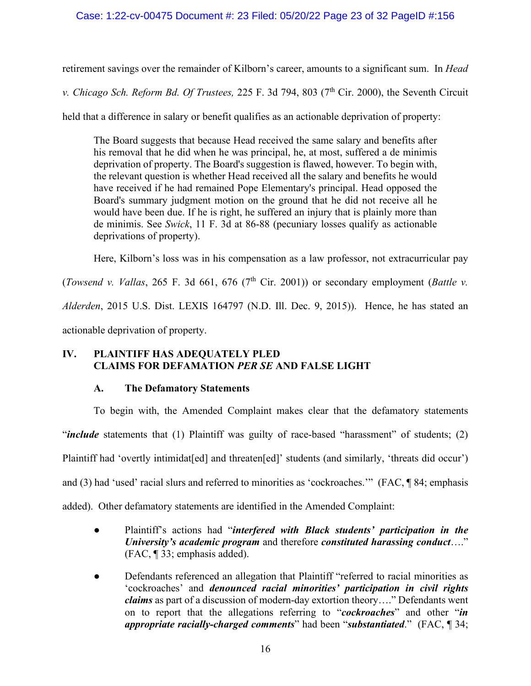#### Case: 1:22-cv-00475 Document #: 23 Filed: 05/20/22 Page 23 of 32 PageID #:156

retirement savings over the remainder of Kilborn's career, amounts to a significant sum. In *Head* 

*v. Chicago Sch. Reform Bd. Of Trustees,* 225 F. 3d 794, 803 (7<sup>th</sup> Cir. 2000), the Seventh Circuit

held that a difference in salary or benefit qualifies as an actionable deprivation of property:

<span id="page-22-3"></span>The Board suggests that because Head received the same salary and benefits after his removal that he did when he was principal, he, at most, suffered a de minimis deprivation of property. The Board's suggestion is flawed, however. To begin with, the relevant question is whether Head received all the salary and benefits he would have received if he had remained Pope Elementary's principal. Head opposed the Board's summary judgment motion on the ground that he did not receive all he would have been due. If he is right, he suffered an injury that is plainly more than de minimis. See *Swick*, 11 F. 3d at 86-88 (pecuniary losses qualify as actionable deprivations of property).

<span id="page-22-2"></span>Here, Kilborn's loss was in his compensation as a law professor, not extracurricular pay

<span id="page-22-4"></span>(*Towsend v. Vallas*, 265 F. 3d 661, 676 ( $7<sup>th</sup>$  Cir. 2001)) or secondary employment (*Battle v. Alderden*, 2015 U.S. Dist. LEXIS 164797 (N.D. Ill. Dec. 9, 2015)). Hence, he has stated an actionable deprivation of property.

## <span id="page-22-0"></span>**IV. PLAINTIFF HAS ADEQUATELY PLED CLAIMS FOR DEFAMATION** *PER SE* **AND FALSE LIGHT**

#### **A. The Defamatory Statements**

<span id="page-22-1"></span>To begin with, the Amended Complaint makes clear that the defamatory statements "*include* statements that (1) Plaintiff was guilty of race-based "harassment" of students; (2) Plaintiff had 'overtly intimidat [ed] and threaten [ed]' students (and similarly, 'threats did occur') and (3) had 'used' racial slurs and referred to minorities as 'cockroaches.'" (FAC, ¶ 84; emphasis added). Other defamatory statements are identified in the Amended Complaint:

- Plaintiff's actions had "*interfered with Black students' participation in the University's academic program* and therefore *constituted harassing conduct*…." (FAC, ¶ 33; emphasis added).
- Defendants referenced an allegation that Plaintiff "referred to racial minorities as 'cockroaches' and *denounced racial minorities' participation in civil rights claims* as part of a discussion of modern-day extortion theory…." Defendants went on to report that the allegations referring to "*cockroaches*" and other "*in appropriate racially-charged comments*" had been "*substantiated*." (FAC, ¶ 34;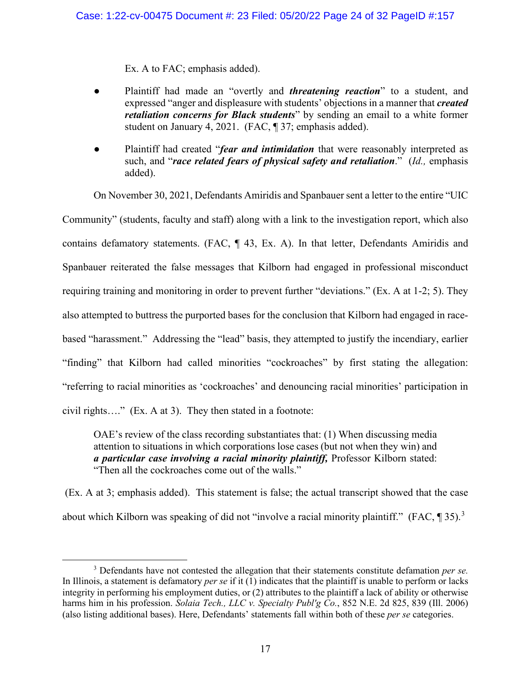Ex. A to FAC; emphasis added).

- Plaintiff had made an "overtly and *threatening reaction*" to a student, and expressed "anger and displeasure with students' objections in a manner that *created retaliation concerns for Black students*" by sending an email to a white former student on January 4, 2021. (FAC, ¶ 37; emphasis added).
- Plaintiff had created "*fear and intimidation* that were reasonably interpreted as such, and "*race related fears of physical safety and retaliation*." (*Id.,* emphasis added).

On November 30, 2021, Defendants Amiridis and Spanbauer sent a letter to the entire "UIC

Community" (students, faculty and staff) along with a link to the investigation report, which also contains defamatory statements. (FAC, ¶ 43, Ex. A). In that letter, Defendants Amiridis and Spanbauer reiterated the false messages that Kilborn had engaged in professional misconduct requiring training and monitoring in order to prevent further "deviations." (Ex. A at 1-2; 5). They also attempted to buttress the purported bases for the conclusion that Kilborn had engaged in racebased "harassment." Addressing the "lead" basis, they attempted to justify the incendiary, earlier "finding" that Kilborn had called minorities "cockroaches" by first stating the allegation: "referring to racial minorities as 'cockroaches' and denouncing racial minorities' participation in civil rights…." (Ex. A at 3). They then stated in a footnote:

OAE's review of the class recording substantiates that: (1) When discussing media attention to situations in which corporations lose cases (but not when they win) and *a particular case involving a racial minority plaintiff,* Professor Kilborn stated: "Then all the cockroaches come out of the walls."

(Ex. A at 3; emphasis added). This statement is false; the actual transcript showed that the case about which Kilborn was speaking of did not "involve a racial minority plaintiff." (FAC,  $\P$  [3](#page-23-1)5).<sup>3</sup>

<span id="page-23-1"></span><span id="page-23-0"></span><sup>3</sup> Defendants have not contested the allegation that their statements constitute defamation *per se.* In Illinois, a statement is defamatory *per se* if it (1) indicates that the plaintiff is unable to perform or lacks integrity in performing his employment duties, or (2) attributes to the plaintiff a lack of ability or otherwise harms him in his profession. *Solaia Tech., LLC v. Specialty Publ'g Co.*, 852 N.E. 2d 825, 839 (Ill. 2006) (also listing additional bases). Here, Defendants' statements fall within both of these *per se* categories.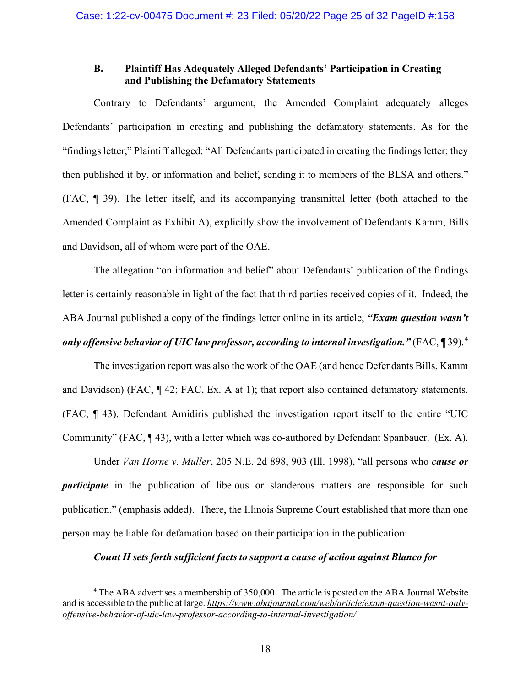#### <span id="page-24-0"></span>**B. Plaintiff Has Adequately Alleged Defendants' Participation in Creating and Publishing the Defamatory Statements**

Contrary to Defendants' argument, the Amended Complaint adequately alleges Defendants' participation in creating and publishing the defamatory statements. As for the "findings letter," Plaintiff alleged: "All Defendants participated in creating the findings letter; they then published it by, or information and belief, sending it to members of the BLSA and others." (FAC, ¶ 39). The letter itself, and its accompanying transmittal letter (both attached to the Amended Complaint as Exhibit A), explicitly show the involvement of Defendants Kamm, Bills and Davidson, all of whom were part of the OAE.

The allegation "on information and belief" about Defendants' publication of the findings letter is certainly reasonable in light of the fact that third parties received copies of it. Indeed, the ABA Journal published a copy of the findings letter online in its article, *"Exam question wasn't only offensive behavior of UIC law professor, according to internal investigation."* (FAC, ¶ 39).[4](#page-24-2)

The investigation report was also the work of the OAE (and hence Defendants Bills, Kamm and Davidson) (FAC, ¶ 42; FAC, Ex. A at 1); that report also contained defamatory statements. (FAC, ¶ 43). Defendant Amidiris published the investigation report itself to the entire "UIC Community" (FAC, ¶ 43), with a letter which was co-authored by Defendant Spanbauer. (Ex. A).

<span id="page-24-1"></span>Under *Van Horne v. Muller*, 205 N.E. 2d 898, 903 (Ill. 1998), "all persons who *cause or participate* in the publication of libelous or slanderous matters are responsible for such publication." (emphasis added). There, the Illinois Supreme Court established that more than one person may be liable for defamation based on their participation in the publication:

#### *Count II sets forth sufficient facts to support a cause of action against Blanco for*

<span id="page-24-2"></span><sup>4</sup> The ABA advertises a membership of 350,000. The article is posted on the ABA Journal Website and is accessible to the public at large. *https://www.abajournal.com/web/article/exam-question-wasnt-onlyoffensive-behavior-of-uic-law-professor-according-to-internal-investigation/*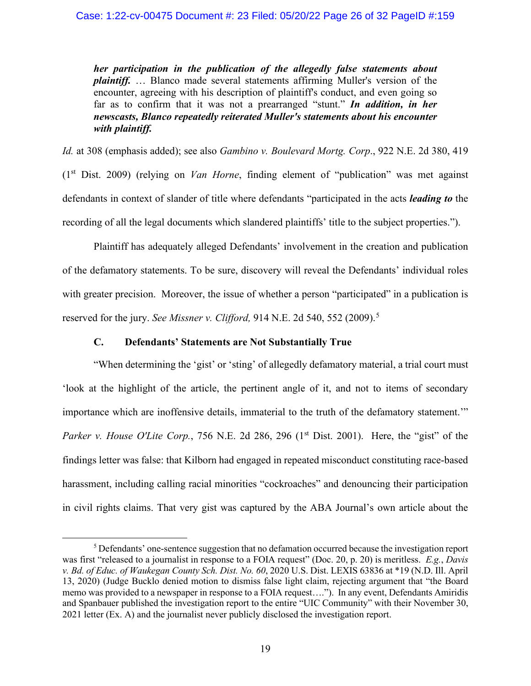<span id="page-25-2"></span>*her participation in the publication of the allegedly false statements about plaintiff.* … Blanco made several statements affirming Muller's version of the encounter, agreeing with his description of plaintiff's conduct, and even going so far as to confirm that it was not a prearranged "stunt." *In addition, in her newscasts, Blanco repeatedly reiterated Muller's statements about his encounter with plaintiff.*

<span id="page-25-5"></span>*Id.* at 308 (emphasis added); see also *Gambino v. Boulevard Mortg. Corp*., 922 N.E. 2d 380, 419 (1st Dist. 2009) (relying on *Van Horne*, finding element of "publication" was met against defendants in context of slander of title where defendants "participated in the acts *leading to* the recording of all the legal documents which slandered plaintiffs' title to the subject properties.").

Plaintiff has adequately alleged Defendants' involvement in the creation and publication of the defamatory statements. To be sure, discovery will reveal the Defendants' individual roles with greater precision. Moreover, the issue of whether a person "participated" in a publication is reserved for the jury. *See Missner v. Clifford,* 914 N.E. 2d 540, 552 (2009). [5](#page-25-6)

## <span id="page-25-3"></span>**C. Defendants' Statements are Not Substantially True**

<span id="page-25-4"></span><span id="page-25-0"></span>"When determining the 'gist' or 'sting' of allegedly defamatory material, a trial court must 'look at the highlight of the article, the pertinent angle of it, and not to items of secondary importance which are inoffensive details, immaterial to the truth of the defamatory statement.'" *Parker v. House O'Lite Corp.*, 756 N.E. 2d 286, 296 (1<sup>st</sup> Dist. 2001). Here, the "gist" of the findings letter was false: that Kilborn had engaged in repeated misconduct constituting race-based harassment, including calling racial minorities "cockroaches" and denouncing their participation in civil rights claims. That very gist was captured by the ABA Journal's own article about the

<span id="page-25-6"></span><span id="page-25-1"></span><sup>5</sup> Defendants' one-sentence suggestion that no defamation occurred because the investigation report was first "released to a journalist in response to a FOIA request" (Doc. 20, p. 20) is meritless. *E.g.*, *Davis v. Bd. of Educ. of Waukegan County Sch. Dist. No. 60*, 2020 U.S. Dist. LEXIS 63836 at \*19 (N.D. Ill. April 13, 2020) (Judge Bucklo denied motion to dismiss false light claim, rejecting argument that "the Board memo was provided to a newspaper in response to a FOIA request…."). In any event, Defendants Amiridis and Spanbauer published the investigation report to the entire "UIC Community" with their November 30, 2021 letter (Ex. A) and the journalist never publicly disclosed the investigation report.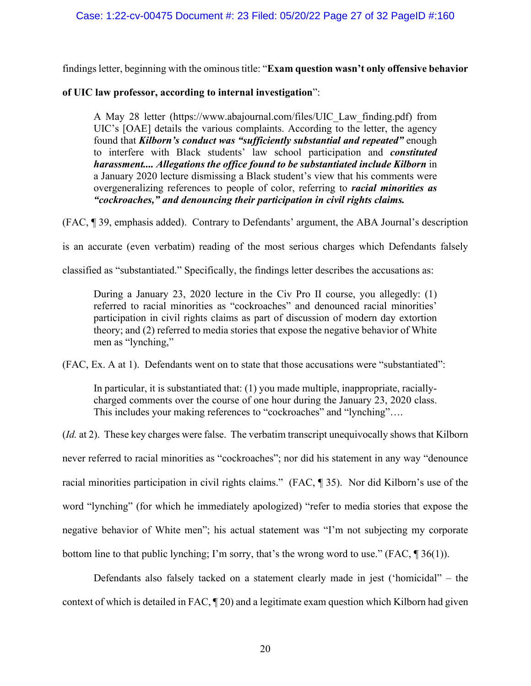findings letter, beginning with the ominous title: "**Exam question wasn't only offensive behavior** 

## **of UIC law professor, according to internal investigation**":

A May 28 letter (https://www.abajournal.com/files/UIC\_Law\_finding.pdf) from UIC's [OAE] details the various complaints. According to the letter, the agency found that *Kilborn's conduct was "sufficiently substantial and repeated"* enough to interfere with Black students' law school participation and *constituted harassment.... Allegations the office found to be substantiated include Kilborn* in a January 2020 lecture dismissing a Black student's view that his comments were overgeneralizing references to people of color, referring to *racial minorities as "cockroaches," and denouncing their participation in civil rights claims.*

(FAC, ¶ 39, emphasis added). Contrary to Defendants' argument, the ABA Journal's description

is an accurate (even verbatim) reading of the most serious charges which Defendants falsely

classified as "substantiated." Specifically, the findings letter describes the accusations as:

During a January 23, 2020 lecture in the Civ Pro II course, you allegedly: (1) referred to racial minorities as "cockroaches" and denounced racial minorities' participation in civil rights claims as part of discussion of modern day extortion theory; and (2) referred to media stories that expose the negative behavior of White men as "lynching,"

(FAC, Ex. A at 1). Defendants went on to state that those accusations were "substantiated":

In particular, it is substantiated that: (1) you made multiple, inappropriate, raciallycharged comments over the course of one hour during the January 23, 2020 class. This includes your making references to "cockroaches" and "lynching"….

(*Id.* at 2). These key charges were false. The verbatim transcript unequivocally shows that Kilborn never referred to racial minorities as "cockroaches"; nor did his statement in any way "denounce racial minorities participation in civil rights claims." (FAC, ¶ 35). Nor did Kilborn's use of the word "lynching" (for which he immediately apologized) "refer to media stories that expose the negative behavior of White men"; his actual statement was "I'm not subjecting my corporate bottom line to that public lynching; I'm sorry, that's the wrong word to use." (FAC, ¶ 36(1)).

Defendants also falsely tacked on a statement clearly made in jest ('homicidal" – the context of which is detailed in FAC, ¶ 20) and a legitimate exam question which Kilborn had given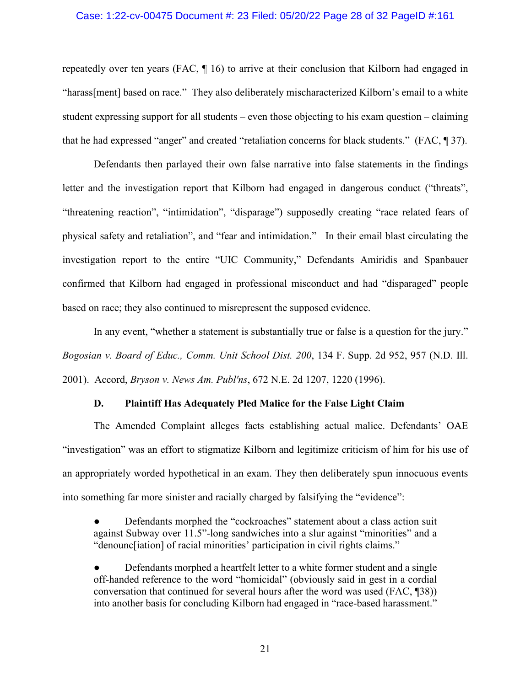#### Case: 1:22-cv-00475 Document #: 23 Filed: 05/20/22 Page 28 of 32 PageID #:161

repeatedly over ten years (FAC, ¶ 16) to arrive at their conclusion that Kilborn had engaged in "harass[ment] based on race." They also deliberately mischaracterized Kilborn's email to a white student expressing support for all students – even those objecting to his exam question – claiming that he had expressed "anger" and created "retaliation concerns for black students." (FAC, ¶ 37).

Defendants then parlayed their own false narrative into false statements in the findings letter and the investigation report that Kilborn had engaged in dangerous conduct ("threats", "threatening reaction", "intimidation", "disparage") supposedly creating "race related fears of physical safety and retaliation", and "fear and intimidation." In their email blast circulating the investigation report to the entire "UIC Community," Defendants Amiridis and Spanbauer confirmed that Kilborn had engaged in professional misconduct and had "disparaged" people based on race; they also continued to misrepresent the supposed evidence.

<span id="page-27-1"></span>In any event, "whether a statement is substantially true or false is a question for the jury." *Bogosian v. Board of Educ., Comm. Unit School Dist. 200*, 134 F. Supp. 2d 952, 957 (N.D. Ill. 2001). Accord, *Bryson v. News Am. Publ'ns*, 672 N.E. 2d 1207, 1220 (1996).

#### <span id="page-27-2"></span>**D. Plaintiff Has Adequately Pled Malice for the False Light Claim**

<span id="page-27-0"></span>The Amended Complaint alleges facts establishing actual malice. Defendants' OAE "investigation" was an effort to stigmatize Kilborn and legitimize criticism of him for his use of an appropriately worded hypothetical in an exam. They then deliberately spun innocuous events into something far more sinister and racially charged by falsifying the "evidence":

Defendants morphed the "cockroaches" statement about a class action suit against Subway over 11.5"-long sandwiches into a slur against "minorities" and a "denounc[iation] of racial minorities' participation in civil rights claims."

Defendants morphed a heartfelt letter to a white former student and a single off-handed reference to the word "homicidal" (obviously said in gest in a cordial conversation that continued for several hours after the word was used (FAC, ¶38)) into another basis for concluding Kilborn had engaged in "race-based harassment."

21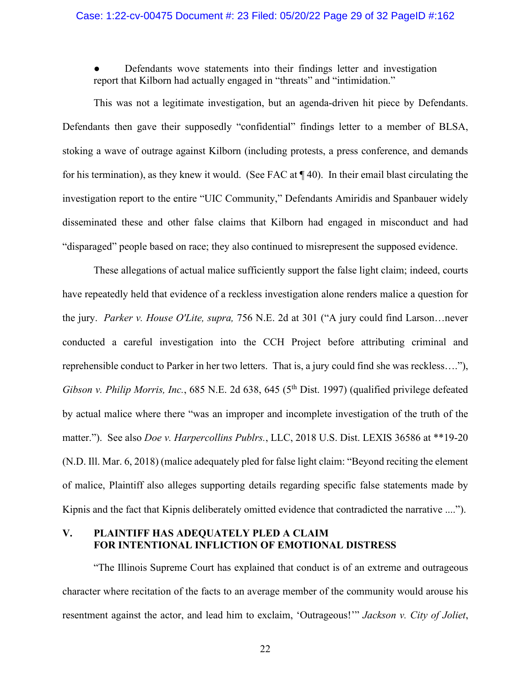Defendants wove statements into their findings letter and investigation report that Kilborn had actually engaged in "threats" and "intimidation."

This was not a legitimate investigation, but an agenda-driven hit piece by Defendants. Defendants then gave their supposedly "confidential" findings letter to a member of BLSA, stoking a wave of outrage against Kilborn (including protests, a press conference, and demands for his termination), as they knew it would. (See FAC at ¶ 40). In their email blast circulating the investigation report to the entire "UIC Community," Defendants Amiridis and Spanbauer widely disseminated these and other false claims that Kilborn had engaged in misconduct and had "disparaged" people based on race; they also continued to misrepresent the supposed evidence.

<span id="page-28-4"></span><span id="page-28-3"></span>These allegations of actual malice sufficiently support the false light claim; indeed, courts have repeatedly held that evidence of a reckless investigation alone renders malice a question for the jury. *Parker v. House O'Lite, supra,* 756 N.E. 2d at 301 ("A jury could find Larson…never conducted a careful investigation into the CCH Project before attributing criminal and reprehensible conduct to Parker in her two letters. That is, a jury could find she was reckless…."), *Gibson v. Philip Morris, Inc.*, 685 N.E. 2d 638, 645 (5<sup>th</sup> Dist. 1997) (qualified privilege defeated by actual malice where there "was an improper and incomplete investigation of the truth of the matter."). See also *Doe v. Harpercollins Publrs.*, LLC, 2018 U.S. Dist. LEXIS 36586 at \*\*19-20 (N.D. Ill. Mar. 6, 2018) (malice adequately pled for false light claim: "Beyond reciting the element of malice, Plaintiff also alleges supporting details regarding specific false statements made by Kipnis and the fact that Kipnis deliberately omitted evidence that contradicted the narrative ....").

#### <span id="page-28-1"></span><span id="page-28-0"></span>**V. PLAINTIFF HAS ADEQUATELY PLED A CLAIM FOR INTENTIONAL INFLICTION OF EMOTIONAL DISTRESS**

<span id="page-28-2"></span>"The Illinois Supreme Court has explained that conduct is of an extreme and outrageous character where recitation of the facts to an average member of the community would arouse his resentment against the actor, and lead him to exclaim, 'Outrageous!'" *Jackson v. City of Joliet*,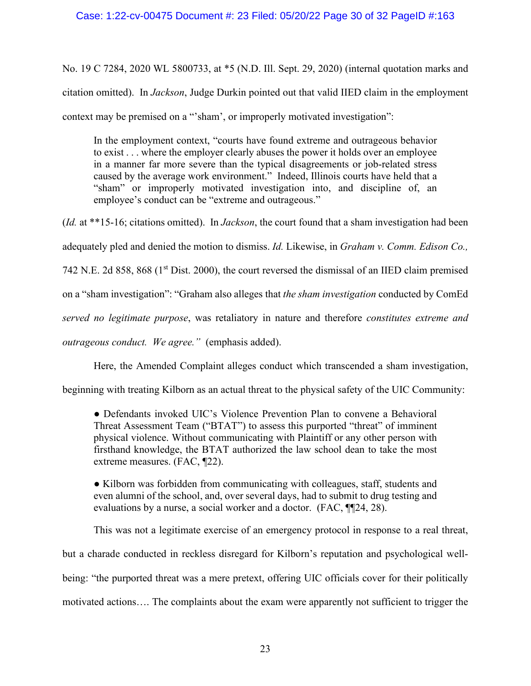#### Case: 1:22-cv-00475 Document #: 23 Filed: 05/20/22 Page 30 of 32 PageID #:163

No. 19 C 7284, 2020 WL 5800733, at \*5 (N.D. Ill. Sept. 29, 2020) (internal quotation marks and citation omitted). In *Jackson*, Judge Durkin pointed out that valid IIED claim in the employment context may be premised on a "'sham', or improperly motivated investigation":

<span id="page-29-1"></span><span id="page-29-0"></span>In the employment context, "courts have found extreme and outrageous behavior to exist . . . where the employer clearly abuses the power it holds over an employee in a manner far more severe than the typical disagreements or job-related stress caused by the average work environment." Indeed, Illinois courts have held that a "sham" or improperly motivated investigation into, and discipline of, an employee's conduct can be "extreme and outrageous."

(*Id.* at \*\*15-16; citations omitted). In *Jackson*, the court found that a sham investigation had been adequately pled and denied the motion to dismiss. *Id.* Likewise, in *Graham v. Comm. Edison Co.,*  742 N.E. 2d 858, 868 (1<sup>st</sup> Dist. 2000), the court reversed the dismissal of an IIED claim premised on a "sham investigation": "Graham also alleges that *the sham investigation* conducted by ComEd *served no legitimate purpose*, was retaliatory in nature and therefore *constitutes extreme and outrageous conduct. We agree."* (emphasis added).

Here, the Amended Complaint alleges conduct which transcended a sham investigation,

beginning with treating Kilborn as an actual threat to the physical safety of the UIC Community:

● Defendants invoked UIC's Violence Prevention Plan to convene a Behavioral Threat Assessment Team ("BTAT") to assess this purported "threat" of imminent physical violence. Without communicating with Plaintiff or any other person with firsthand knowledge, the BTAT authorized the law school dean to take the most extreme measures. (FAC, ¶22).

● Kilborn was forbidden from communicating with colleagues, staff, students and even alumni of the school, and, over several days, had to submit to drug testing and evaluations by a nurse, a social worker and a doctor. (FAC, ¶¶24, 28).

This was not a legitimate exercise of an emergency protocol in response to a real threat, but a charade conducted in reckless disregard for Kilborn's reputation and psychological wellbeing: "the purported threat was a mere pretext, offering UIC officials cover for their politically motivated actions…. The complaints about the exam were apparently not sufficient to trigger the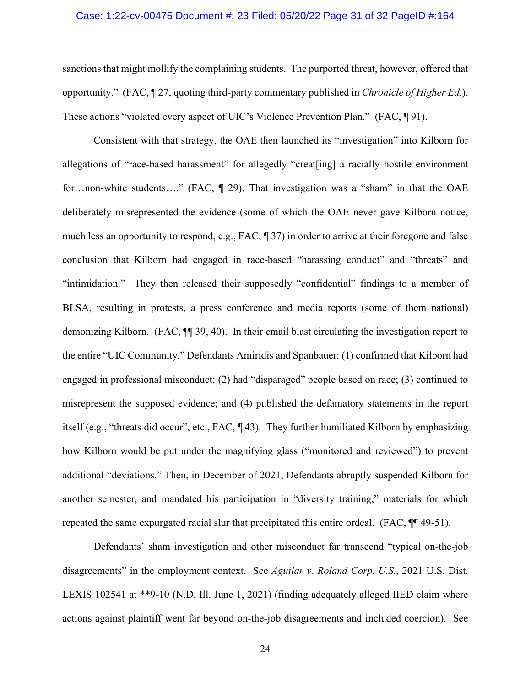#### Case: 1:22-cv-00475 Document #: 23 Filed: 05/20/22 Page 31 of 32 PageID #:164

sanctions that might mollify the complaining students. The purported threat, however, offered that opportunity." (FAC, ¶ 27, quoting third-party commentary published in *Chronicle of Higher Ed.*). These actions "violated every aspect of UIC's Violence Prevention Plan." (FAC, ¶ 91).

Consistent with that strategy, the OAE then launched its "investigation" into Kilborn for allegations of "race-based harassment" for allegedly "creat[ing] a racially hostile environment for…non-white students…." (FAC, ¶ 29). That investigation was a "sham" in that the OAE deliberately misrepresented the evidence (some of which the OAE never gave Kilborn notice, much less an opportunity to respond, e.g., FAC, ¶ 37) in order to arrive at their foregone and false conclusion that Kilborn had engaged in race-based "harassing conduct" and "threats" and "intimidation." They then released their supposedly "confidential" findings to a member of BLSA, resulting in protests, a press conference and media reports (some of them national) demonizing Kilborn. (FAC, ¶¶ 39, 40). In their email blast circulating the investigation report to the entire "UIC Community," Defendants Amiridis and Spanbauer: (1) confirmed that Kilborn had engaged in professional misconduct: (2) had "disparaged" people based on race; (3) continued to misrepresent the supposed evidence; and (4) published the defamatory statements in the report itself (e.g., "threats did occur", etc., FAC, ¶ 43). They further humiliated Kilborn by emphasizing how Kilborn would be put under the magnifying glass ("monitored and reviewed") to prevent additional "deviations." Then, in December of 2021, Defendants abruptly suspended Kilborn for another semester, and mandated his participation in "diversity training," materials for which repeated the same expurgated racial slur that precipitated this entire ordeal. (FAC, ¶¶ 49-51).

<span id="page-30-0"></span>Defendants' sham investigation and other misconduct far transcend "typical on-the-job disagreements" in the employment context. See *Aguilar v. Roland Corp. U.S.*, 2021 U.S. Dist. LEXIS 102541 at \*\*9-10 (N.D. Ill. June 1, 2021) (finding adequately alleged IIED claim where actions against plaintiff went far beyond on-the-job disagreements and included coercion). See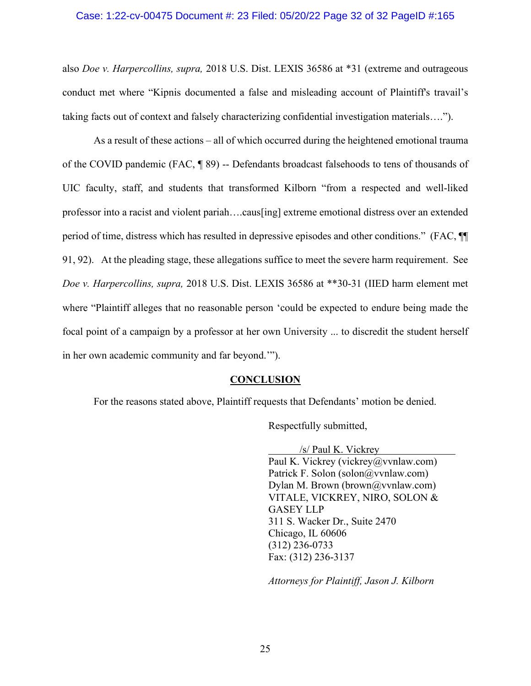#### Case: 1:22-cv-00475 Document #: 23 Filed: 05/20/22 Page 32 of 32 PageID #:165

<span id="page-31-0"></span>also *Doe v. Harpercollins, supra,* 2018 U.S. Dist. LEXIS 36586 at \*31 (extreme and outrageous conduct met where "Kipnis documented a false and misleading account of Plaintiff's travail's taking facts out of context and falsely characterizing confidential investigation materials….").

As a result of these actions – all of which occurred during the heightened emotional trauma of the COVID pandemic (FAC, ¶ 89) -- Defendants broadcast falsehoods to tens of thousands of UIC faculty, staff, and students that transformed Kilborn "from a respected and well-liked professor into a racist and violent pariah….caus[ing] extreme emotional distress over an extended period of time, distress which has resulted in depressive episodes and other conditions." (FAC, ¶¶ 91, 92). At the pleading stage, these allegations suffice to meet the severe harm requirement. See *Doe v. Harpercollins, supra,* 2018 U.S. Dist. LEXIS 36586 at \*\*30-31 (IIED harm element met where "Plaintiff alleges that no reasonable person 'could be expected to endure being made the focal point of a campaign by a professor at her own University ... to discredit the student herself in her own academic community and far beyond.'").

#### **CONCLUSION**

For the reasons stated above, Plaintiff requests that Defendants' motion be denied.

Respectfully submitted,

/s/ Paul K. Vickrey Paul K. Vickrey (vickrey@vvnlaw.com) Patrick F. Solon (solon@vvnlaw.com) Dylan M. Brown (brown@vvnlaw.com) VITALE, VICKREY, NIRO, SOLON & GASEY LLP 311 S. Wacker Dr., Suite 2470 Chicago, IL 60606 (312) 236-0733 Fax: (312) 236-3137

*Attorneys for Plaintiff, Jason J. Kilborn*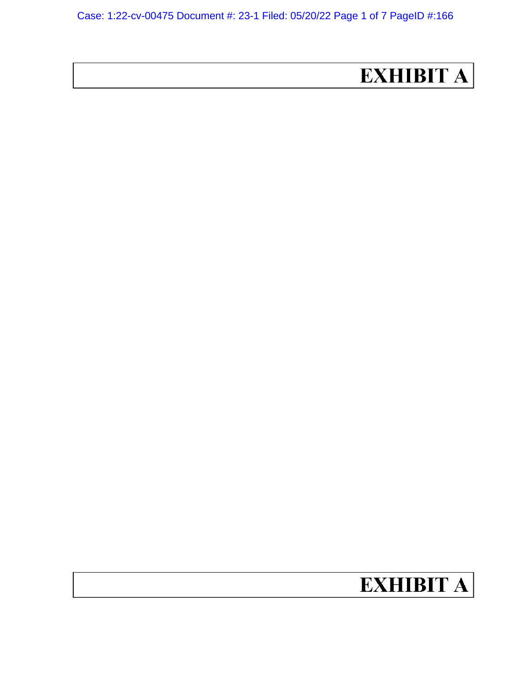# **EXHIBIT A**

# **EXHIBIT A**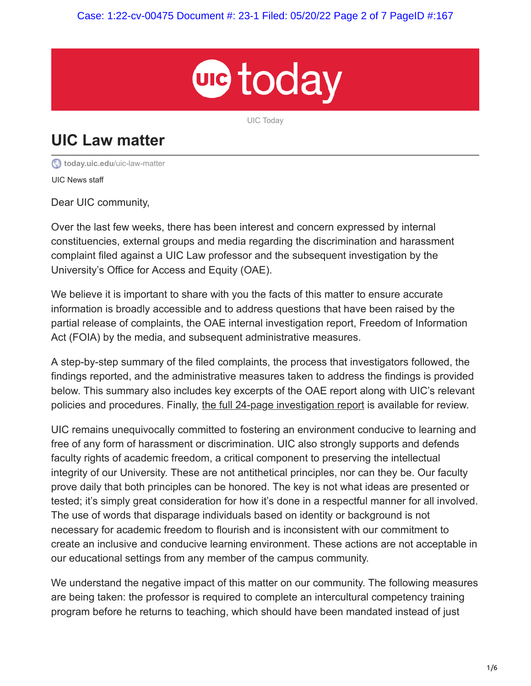

UIC Today

# **UIC Law matter**

**today.uic.edu[/uic-law-matter](https://today.uic.edu/uic-law-matter)** 

UIC News staff

Dear UIC community,

Over the last few weeks, there has been interest and concern expressed by internal constituencies, external groups and media regarding the discrimination and harassment complaint filed against a UIC Law professor and the subsequent investigation by the University's Office for Access and Equity (OAE).

We believe it is important to share with you the facts of this matter to ensure accurate information is broadly accessible and to address questions that have been raised by the partial release of complaints, the OAE internal investigation report, Freedom of Information Act (FOIA) by the media, and subsequent administrative measures.

A step-by-step summary of the filed complaints, the process that investigators followed, the findings reported, and the administrative measures taken to address the findings is provided below. This summary also includes key excerpts of the OAE report along with UIC's relevant policies and procedures. Finally, [the full 24-page investigation report](https://uofi.box.com/s/qa41m72prbsb82qpehpe4xicx12d1dii) is available for review.

UIC remains unequivocally committed to fostering an environment conducive to learning and free of any form of harassment or discrimination. UIC also strongly supports and defends faculty rights of academic freedom, a critical component to preserving the intellectual integrity of our University. These are not antithetical principles, nor can they be. Our faculty prove daily that both principles can be honored. The key is not what ideas are presented or tested; it's simply great consideration for how it's done in a respectful manner for all involved. The use of words that disparage individuals based on identity or background is not necessary for academic freedom to flourish and is inconsistent with our commitment to create an inclusive and conducive learning environment. These actions are not acceptable in our educational settings from any member of the campus community.

We understand the negative impact of this matter on our community. The following measures are being taken: the professor is required to complete an intercultural competency training program before he returns to teaching, which should have been mandated instead of just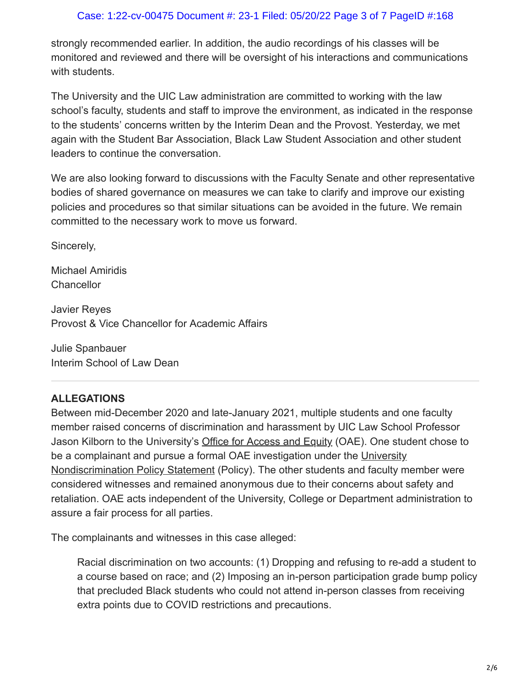# Case: 1:22-cv-00475 Document #: 23-1 Filed: 05/20/22 Page 3 of 7 PageID #:168

strongly recommended earlier. In addition, the audio recordings of his classes will be monitored and reviewed and there will be oversight of his interactions and communications with students.

The University and the UIC Law administration are committed to working with the law school's faculty, students and staff to improve the environment, as indicated in the response to the students' concerns written by the Interim Dean and the Provost. Yesterday, we met again with the Student Bar Association, Black Law Student Association and other student leaders to continue the conversation.

We are also looking forward to discussions with the Faculty Senate and other representative bodies of shared governance on measures we can take to clarify and improve our existing policies and procedures so that similar situations can be avoided in the future. We remain committed to the necessary work to move us forward.

Sincerely,

Michael Amiridis **Chancellor** 

Javier Reyes Provost & Vice Chancellor for Academic Affairs

Julie Spanbauer Interim School of Law Dean

# **ALLEGATIONS**

Between mid-December 2020 and late-January 2021, multiple students and one faculty member raised concerns of discrimination and harassment by UIC Law School Professor Jason Kilborn to the University's [Office for Access and Equity](https://oae.uic.edu/) (OAE). One student chose to be a complainant and pursue a formal OAE investigation under the University [Nondiscrimination Policy Statement \(Policy\). The other students and faculty m](https://policies.uic.edu/uic-policy-library/access-and-equity/nondiscrimination-policy-statement/)ember were considered witnesses and remained anonymous due to their concerns about safety and retaliation. OAE acts independent of the University, College or Department administration to assure a fair process for all parties.

The complainants and witnesses in this case alleged:

Racial discrimination on two accounts: (1) Dropping and refusing to re-add a student to a course based on race; and (2) Imposing an in-person participation grade bump policy that precluded Black students who could not attend in-person classes from receiving extra points due to COVID restrictions and precautions.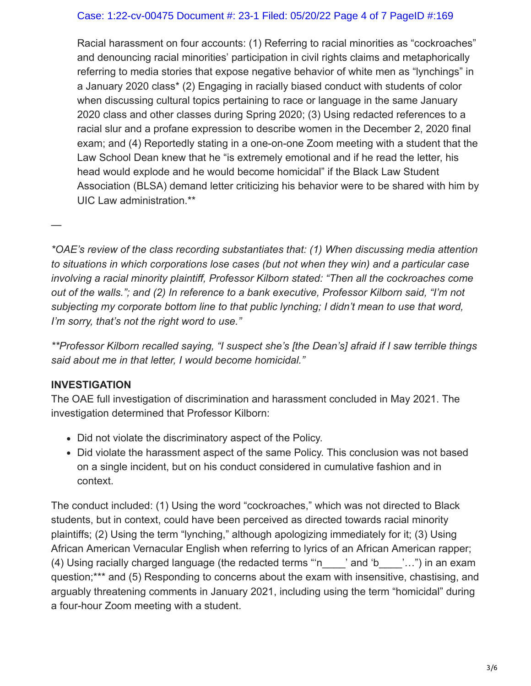# Case: 1:22-cv-00475 Document #: 23-1 Filed: 05/20/22 Page 4 of 7 PageID #:169

Racial harassment on four accounts: (1) Referring to racial minorities as "cockroaches" and denouncing racial minorities' participation in civil rights claims and metaphorically referring to media stories that expose negative behavior of white men as "lynchings" in a January 2020 class\* (2) Engaging in racially biased conduct with students of color when discussing cultural topics pertaining to race or language in the same January 2020 class and other classes during Spring 2020; (3) Using redacted references to a racial slur and a profane expression to describe women in the December 2, 2020 final exam; and (4) Reportedly stating in a one-on-one Zoom meeting with a student that the Law School Dean knew that he "is extremely emotional and if he read the letter, his head would explode and he would become homicidal" if the Black Law Student Association (BLSA) demand letter criticizing his behavior were to be shared with him by UIC Law administration.\*\*

*\*OAE's review of the class recording substantiates that: (1) When discussing media attention to situations in which corporations lose cases (but not when they win) and a particular case involving a racial minority plaintiff, Professor Kilborn stated: "Then all the cockroaches come out of the walls."; and (2) In reference to a bank executive, Professor Kilborn said, "I'm not subjecting my corporate bottom line to that public lynching; I didn't mean to use that word, I'm sorry, that's not the right word to use."*

*\*\*Professor Kilborn recalled saying, "I suspect she's [the Dean's] afraid if I saw terrible things said about me in that letter, I would become homicidal."*

# **INVESTIGATION**

*—*

The OAE full investigation of discrimination and harassment concluded in May 2021. The investigation determined that Professor Kilborn:

- Did not violate the discriminatory aspect of the Policy.
- Did violate the harassment aspect of the same Policy. This conclusion was not based on a single incident, but on his conduct considered in cumulative fashion and in context.

The conduct included: (1) Using the word "cockroaches," which was not directed to Black students, but in context, could have been perceived as directed towards racial minority plaintiffs; (2) Using the term "lynching," although apologizing immediately for it; (3) Using African American Vernacular English when referring to lyrics of an African American rapper; (4) Using racially charged language (the redacted terms "n\_\_\_\_' and 'b\_\_\_\_'...") in an exam question;\*\*\* and (5) Responding to concerns about the exam with insensitive, chastising, and arguably threatening comments in January 2021, including using the term "homicidal" during a four-hour Zoom meeting with a student.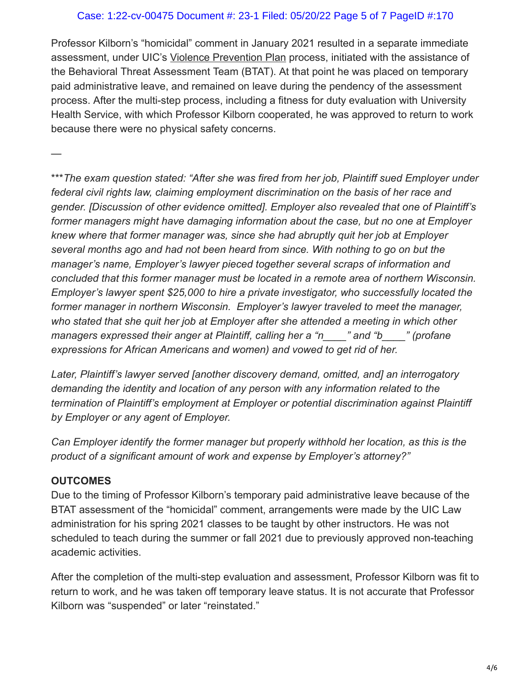# Case: 1:22-cv-00475 Document #: 23-1 Filed: 05/20/22 Page 5 of 7 PageID #:170

Professor Kilborn's "homicidal" comment in January 2021 resulted in a separate immediate assessment, under UIC's [Violence Prevention Plan](https://ready.uic.edu/planning/violence-prevention/violence-prevention-plan/) process, initiated with the assistance of the Behavioral Threat Assessment Team (BTAT). At that point he was placed on temporary paid administrative leave, and remained on leave during the pendency of the assessment process. After the multi-step process, including a fitness for duty evaluation with University Health Service, with which Professor Kilborn cooperated, he was approved to return to work because there were no physical safety concerns.

\*\*\**The exam question stated: "After she was fired from her job, Plaintiff sued Employer under federal civil rights law, claiming employment discrimination on the basis of her race and gender. [Discussion of other evidence omitted]. Employer also revealed that one of Plaintiff's former managers might have damaging information about the case, but no one at Employer knew where that former manager was, since she had abruptly quit her job at Employer several months ago and had not been heard from since. With nothing to go on but the manager's name, Employer's lawyer pieced together several scraps of information and concluded that this former manager must be located in a remote area of northern Wisconsin. Employer's lawyer spent \$25,000 to hire a private investigator, who successfully located the former manager in northern Wisconsin. Employer's lawyer traveled to meet the manager, who stated that she quit her job at Employer after she attended a meeting in which other managers expressed their anger at Plaintiff, calling her a "n\_\_\_\_" and "b\_\_\_\_" (profane expressions for African Americans and women) and vowed to get rid of her.*

*Later, Plaintiff's lawyer served [another discovery demand, omitted, and] an interrogatory demanding the identity and location of any person with any information related to the termination of Plaintiff's employment at Employer or potential discrimination against Plaintiff by Employer or any agent of Employer.*

*Can Employer identify the former manager but properly withhold her location, as this is the product of a significant amount of work and expense by Employer's attorney?"*

# **OUTCOMES**

—

Due to the timing of Professor Kilborn's temporary paid administrative leave because of the BTAT assessment of the "homicidal" comment, arrangements were made by the UIC Law administration for his spring 2021 classes to be taught by other instructors. He was not scheduled to teach during the summer or fall 2021 due to previously approved non-teaching academic activities.

After the completion of the multi-step evaluation and assessment, Professor Kilborn was fit to return to work, and he was taken off temporary leave status. It is not accurate that Professor Kilborn was "suspended" or later "reinstated."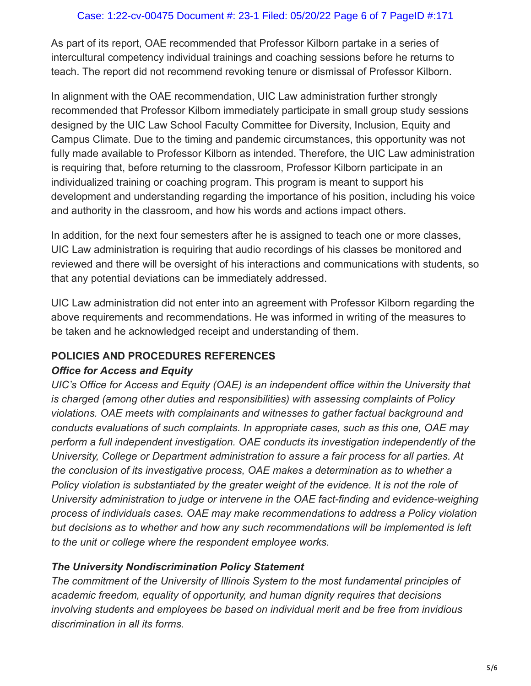# Case: 1:22-cv-00475 Document #: 23-1 Filed: 05/20/22 Page 6 of 7 PageID #:171

As part of its report, OAE recommended that Professor Kilborn partake in a series of intercultural competency individual trainings and coaching sessions before he returns to teach. The report did not recommend revoking tenure or dismissal of Professor Kilborn.

In alignment with the OAE recommendation, UIC Law administration further strongly recommended that Professor Kilborn immediately participate in small group study sessions designed by the UIC Law School Faculty Committee for Diversity, Inclusion, Equity and Campus Climate. Due to the timing and pandemic circumstances, this opportunity was not fully made available to Professor Kilborn as intended. Therefore, the UIC Law administration is requiring that, before returning to the classroom, Professor Kilborn participate in an individualized training or coaching program. This program is meant to support his development and understanding regarding the importance of his position, including his voice and authority in the classroom, and how his words and actions impact others.

In addition, for the next four semesters after he is assigned to teach one or more classes, UIC Law administration is requiring that audio recordings of his classes be monitored and reviewed and there will be oversight of his interactions and communications with students, so that any potential deviations can be immediately addressed.

UIC Law administration did not enter into an agreement with Professor Kilborn regarding the above requirements and recommendations. He was informed in writing of the measures to be taken and he acknowledged receipt and understanding of them.

# **POLICIES AND PROCEDURES REFERENCES**

# *Office for Access and Equity*

*UIC's Office for Access and Equity (OAE) is an independent office within the University that is charged (among other duties and responsibilities) with assessing complaints of Policy violations. OAE meets with complainants and witnesses to gather factual background and conducts evaluations of such complaints. In appropriate cases, such as this one, OAE may perform a full independent investigation. OAE conducts its investigation independently of the University, College or Department administration to assure a fair process for all parties. At the conclusion of its investigative process, OAE makes a determination as to whether a Policy violation is substantiated by the greater weight of the evidence. It is not the role of University administration to judge or intervene in the OAE fact-finding and evidence-weighing process of individuals cases. OAE may make recommendations to address a Policy violation but decisions as to whether and how any such recommendations will be implemented is left to the unit or college where the respondent employee works.*

# *The University Nondiscrimination Policy Statement*

*The commitment of the University of Illinois System to the most fundamental principles of academic freedom, equality of opportunity, and human dignity requires that decisions involving students and employees be based on individual merit and be free from invidious discrimination in all its forms.*